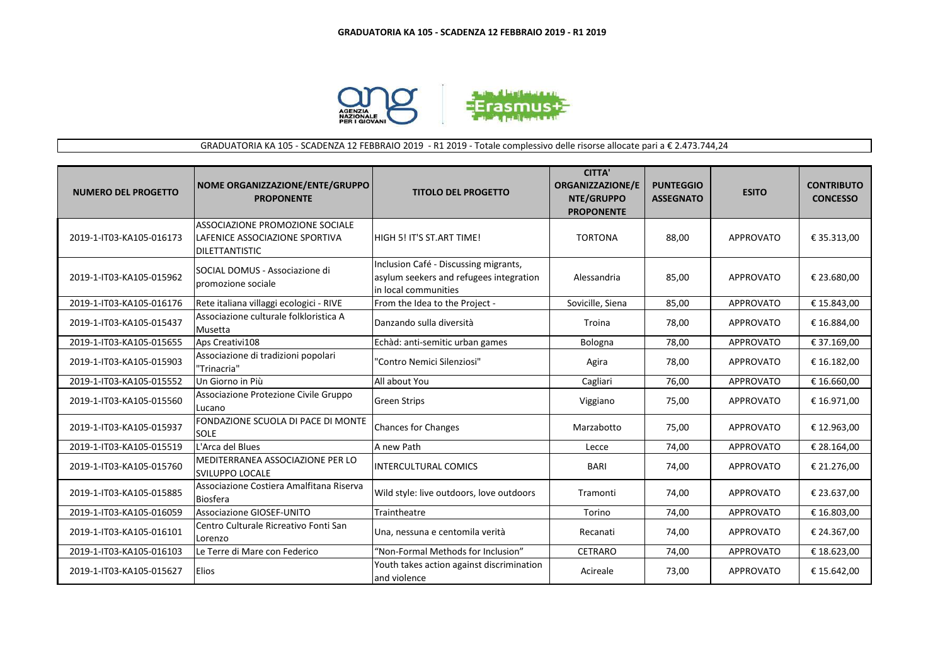

## GRADUATORIA KA 105 - SCADENZA 12 FEBBRAIO 2019 - R1 2019 - Totale complessivo delle risorse allocate pari a € 2.473.744,24

| <b>NUMERO DEL PROGETTO</b> | NOME ORGANIZZAZIONE/ENTE/GRUPPO<br><b>PROPONENTE</b>                                       | <b>TITOLO DEL PROGETTO</b>                                                                                | <b>CITTA'</b><br><b>ORGANIZZAZIONE/E</b><br>NTE/GRUPPO<br><b>PROPONENTE</b> | <b>PUNTEGGIO</b><br><b>ASSEGNATO</b> | <b>ESITO</b>     | <b>CONTRIBUTO</b><br><b>CONCESSO</b> |
|----------------------------|--------------------------------------------------------------------------------------------|-----------------------------------------------------------------------------------------------------------|-----------------------------------------------------------------------------|--------------------------------------|------------------|--------------------------------------|
| 2019-1-IT03-KA105-016173   | ASSOCIAZIONE PROMOZIONE SOCIALE<br>LAFENICE ASSOCIAZIONE SPORTIVA<br><b>DILETTANTISTIC</b> | <b>HIGH 5! IT'S ST.ART TIME!</b>                                                                          | <b>TORTONA</b>                                                              | 88,00                                | <b>APPROVATO</b> | € 35.313,00                          |
| 2019-1-IT03-KA105-015962   | SOCIAL DOMUS - Associazione di<br>promozione sociale                                       | Inclusion Café - Discussing migrants,<br>asylum seekers and refugees integration<br>lin local communities | Alessandria                                                                 | 85,00                                | <b>APPROVATO</b> | € 23.680,00                          |
| 2019-1-IT03-KA105-016176   | Rete italiana villaggi ecologici - RIVE                                                    | From the Idea to the Project -                                                                            | Sovicille, Siena                                                            | 85,00                                | <b>APPROVATO</b> | € 15.843,00                          |
| 2019-1-IT03-KA105-015437   | Associazione culturale folkloristica A<br>Musetta                                          | Danzando sulla diversità                                                                                  | Troina                                                                      | 78,00                                | <b>APPROVATO</b> | € 16.884,00                          |
| 2019-1-IT03-KA105-015655   | Aps Creativi108                                                                            | Echàd: anti-semitic urban games                                                                           | Bologna                                                                     | 78,00                                | <b>APPROVATO</b> | € 37.169,00                          |
| 2019-1-IT03-KA105-015903   | Associazione di tradizioni popolari<br>"Trinacria"                                         | "Contro Nemici Silenziosi"                                                                                | Agira                                                                       | 78,00                                | <b>APPROVATO</b> | € 16.182,00                          |
| 2019-1-IT03-KA105-015552   | Un Giorno in Più                                                                           | All about You                                                                                             | Cagliari                                                                    | 76,00                                | <b>APPROVATO</b> | € 16.660,00                          |
| 2019-1-IT03-KA105-015560   | Associazione Protezione Civile Gruppo<br>Lucano                                            | <b>Green Strips</b>                                                                                       | Viggiano                                                                    | 75,00                                | <b>APPROVATO</b> | € 16.971,00                          |
| 2019-1-IT03-KA105-015937   | FONDAZIONE SCUOLA DI PACE DI MONTE<br><b>SOLE</b>                                          | <b>Chances for Changes</b>                                                                                | Marzabotto                                                                  | 75,00                                | <b>APPROVATO</b> | € 12.963,00                          |
| 2019-1-IT03-KA105-015519   | L'Arca del Blues                                                                           | A new Path                                                                                                | Lecce                                                                       | 74,00                                | <b>APPROVATO</b> | € 28.164,00                          |
| 2019-1-IT03-KA105-015760   | MEDITERRANEA ASSOCIAZIONE PER LO<br><b>SVILUPPO LOCALE</b>                                 | <b>INTERCULTURAL COMICS</b>                                                                               | BARI                                                                        | 74,00                                | <b>APPROVATO</b> | € 21.276,00                          |
| 2019-1-IT03-KA105-015885   | Associazione Costiera Amalfitana Riserva<br>Biosfera                                       | Wild style: live outdoors, love outdoors                                                                  | Tramonti                                                                    | 74,00                                | <b>APPROVATO</b> | € 23.637,00                          |
| 2019-1-IT03-KA105-016059   | Associazione GIOSEF-UNITO                                                                  | Traintheatre                                                                                              | Torino                                                                      | 74,00                                | <b>APPROVATO</b> | € 16.803,00                          |
| 2019-1-IT03-KA105-016101   | Centro Culturale Ricreativo Fonti San<br>Lorenzo                                           | Una, nessuna e centomila verità                                                                           | Recanati                                                                    | 74,00                                | <b>APPROVATO</b> | € 24.367,00                          |
| 2019-1-IT03-KA105-016103   | Le Terre di Mare con Federico                                                              | "Non-Formal Methods for Inclusion"                                                                        | <b>CETRARO</b>                                                              | 74,00                                | <b>APPROVATO</b> | € 18.623,00                          |
| 2019-1-IT03-KA105-015627   | Elios                                                                                      | Youth takes action against discrimination<br>and violence                                                 | Acireale                                                                    | 73,00                                | <b>APPROVATO</b> | € 15.642,00                          |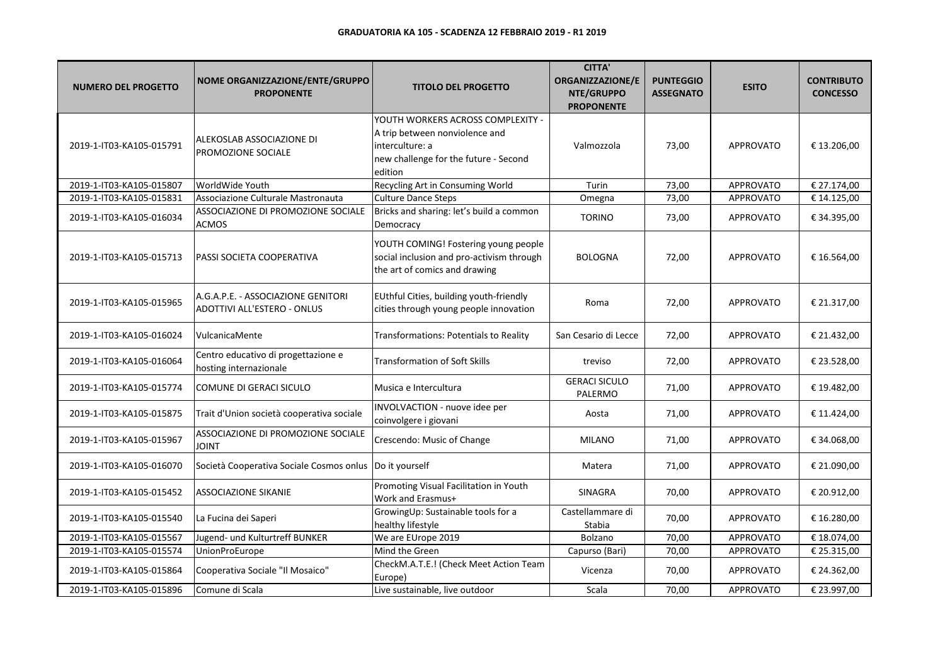| <b>NUMERO DEL PROGETTO</b> | NOME ORGANIZZAZIONE/ENTE/GRUPPO<br><b>PROPONENTE</b>              | <b>TITOLO DEL PROGETTO</b>                                                                                                                 | <b>CITTA'</b><br><b>ORGANIZZAZIONE/E</b><br>NTE/GRUPPO<br><b>PROPONENTE</b> | <b>PUNTEGGIO</b><br><b>ASSEGNATO</b> | <b>ESITO</b>     | <b>CONTRIBUTO</b><br><b>CONCESSO</b> |
|----------------------------|-------------------------------------------------------------------|--------------------------------------------------------------------------------------------------------------------------------------------|-----------------------------------------------------------------------------|--------------------------------------|------------------|--------------------------------------|
| 2019-1-IT03-KA105-015791   | ALEKOSLAB ASSOCIAZIONE DI<br>PROMOZIONE SOCIALE                   | YOUTH WORKERS ACROSS COMPLEXITY -<br>A trip between nonviolence and<br>interculture: a<br>new challenge for the future - Second<br>edition | Valmozzola                                                                  | 73,00                                | <b>APPROVATO</b> | € 13.206,00                          |
| 2019-1-IT03-KA105-015807   | WorldWide Youth                                                   | Recycling Art in Consuming World                                                                                                           | Turin                                                                       | 73,00                                | <b>APPROVATO</b> | € 27.174,00                          |
| 2019-1-IT03-KA105-015831   | Associazione Culturale Mastronauta                                | <b>Culture Dance Steps</b>                                                                                                                 | Omegna                                                                      | 73,00                                | <b>APPROVATO</b> | € 14.125,00                          |
| 2019-1-IT03-KA105-016034   | ASSOCIAZIONE DI PROMOZIONE SOCIALE<br><b>ACMOS</b>                | Bricks and sharing: let's build a common<br>Democracy                                                                                      | <b>TORINO</b>                                                               | 73,00                                | <b>APPROVATO</b> | € 34.395,00                          |
| 2019-1-IT03-KA105-015713   | PASSI SOCIETA COOPERATIVA                                         | YOUTH COMING! Fostering young people<br>social inclusion and pro-activism through<br>the art of comics and drawing                         | <b>BOLOGNA</b>                                                              | 72,00                                | <b>APPROVATO</b> | € 16.564,00                          |
| 2019-1-IT03-KA105-015965   | A.G.A.P.E. - ASSOCIAZIONE GENITORI<br>ADOTTIVI ALL'ESTERO - ONLUS | EUthful Cities, building youth-friendly<br>cities through young people innovation                                                          | Roma                                                                        | 72,00                                | <b>APPROVATO</b> | € 21.317,00                          |
| 2019-1-IT03-KA105-016024   | VulcanicaMente                                                    | Transformations: Potentials to Reality                                                                                                     | San Cesario di Lecce                                                        | 72,00                                | <b>APPROVATO</b> | € 21.432,00                          |
| 2019-1-IT03-KA105-016064   | Centro educativo di progettazione e<br>hosting internazionale     | <b>Transformation of Soft Skills</b>                                                                                                       | treviso                                                                     | 72,00                                | <b>APPROVATO</b> | € 23.528,00                          |
| 2019-1-IT03-KA105-015774   | COMUNE DI GERACI SICULO                                           | Musica e Intercultura                                                                                                                      | <b>GERACI SICULO</b><br>PALERMO                                             | 71,00                                | <b>APPROVATO</b> | € 19.482,00                          |
| 2019-1-IT03-KA105-015875   | Trait d'Union società cooperativa sociale                         | INVOLVACTION - nuove idee per<br>coinvolgere i giovani                                                                                     | Aosta                                                                       | 71,00                                | <b>APPROVATO</b> | € 11.424,00                          |
| 2019-1-IT03-KA105-015967   | ASSOCIAZIONE DI PROMOZIONE SOCIALE<br>JOINT                       | Crescendo: Music of Change                                                                                                                 | <b>MILANO</b>                                                               | 71,00                                | <b>APPROVATO</b> | € 34.068,00                          |
| 2019-1-IT03-KA105-016070   | Società Cooperativa Sociale Cosmos onlus                          | Do it yourself                                                                                                                             | Matera                                                                      | 71,00                                | <b>APPROVATO</b> | € 21.090,00                          |
| 2019-1-IT03-KA105-015452   | <b>ASSOCIAZIONE SIKANIE</b>                                       | Promoting Visual Facilitation in Youth<br>Work and Erasmus+                                                                                | SINAGRA                                                                     | 70,00                                | <b>APPROVATO</b> | € 20.912,00                          |
| 2019-1-IT03-KA105-015540   | La Fucina dei Saperi                                              | GrowingUp: Sustainable tools for a<br>healthy lifestyle                                                                                    | Castellammare di<br>Stabia                                                  | 70,00                                | <b>APPROVATO</b> | € 16.280,00                          |
| 2019-1-IT03-KA105-015567   | Jugend- und Kulturtreff BUNKER                                    | We are EUrope 2019                                                                                                                         | Bolzano                                                                     | 70,00                                | <b>APPROVATO</b> | € 18.074,00                          |
| 2019-1-IT03-KA105-015574   | <b>UnionProEurope</b>                                             | Mind the Green                                                                                                                             | Capurso (Bari)                                                              | 70,00                                | <b>APPROVATO</b> | € 25.315,00                          |
| 2019-1-IT03-KA105-015864   | Cooperativa Sociale "Il Mosaico"                                  | CheckM.A.T.E.! (Check Meet Action Team<br>Europe)                                                                                          | Vicenza                                                                     | 70,00                                | <b>APPROVATO</b> | € 24.362,00                          |
| 2019-1-IT03-KA105-015896   | Comune di Scala                                                   | Live sustainable, live outdoor                                                                                                             | Scala                                                                       | 70,00                                | <b>APPROVATO</b> | € 23.997,00                          |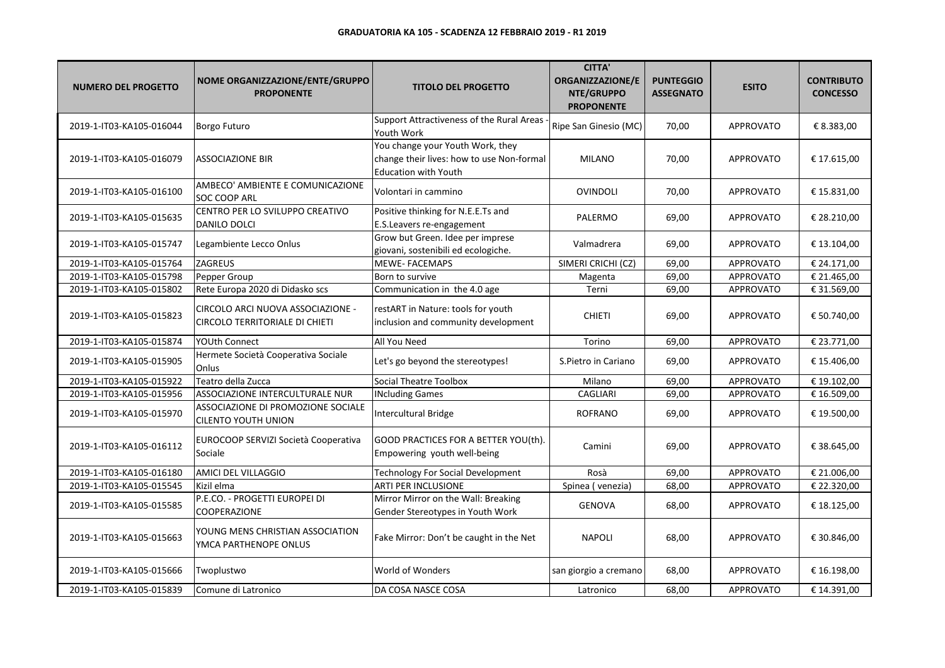| <b>NUMERO DEL PROGETTO</b> | NOME ORGANIZZAZIONE/ENTE/GRUPPO<br><b>PROPONENTE</b>                | <b>TITOLO DEL PROGETTO</b>                                                                                   | <b>CITTA'</b><br>ORGANIZZAZIONE/E<br>NTE/GRUPPO<br><b>PROPONENTE</b> | <b>PUNTEGGIO</b><br><b>ASSEGNATO</b> | <b>ESITO</b>     | <b>CONTRIBUTO</b><br><b>CONCESSO</b> |
|----------------------------|---------------------------------------------------------------------|--------------------------------------------------------------------------------------------------------------|----------------------------------------------------------------------|--------------------------------------|------------------|--------------------------------------|
| 2019-1-IT03-KA105-016044   | Borgo Futuro                                                        | Support Attractiveness of the Rural Areas<br>Youth Work                                                      | Ripe San Ginesio (MC)                                                | 70,00                                | <b>APPROVATO</b> | € 8.383,00                           |
| 2019-1-IT03-KA105-016079   | ASSOCIAZIONE BIR                                                    | You change your Youth Work, they<br>change their lives: how to use Non-formal<br><b>Education with Youth</b> | <b>MILANO</b>                                                        | 70,00                                | <b>APPROVATO</b> | € 17.615,00                          |
| 2019-1-IT03-KA105-016100   | AMBECO' AMBIENTE E COMUNICAZIONE<br>SOC COOP ARL                    | Volontari in cammino                                                                                         | OVINDOLI                                                             | 70,00                                | <b>APPROVATO</b> | € 15.831,00                          |
| 2019-1-IT03-KA105-015635   | CENTRO PER LO SVILUPPO CREATIVO<br>DANILO DOLCI                     | Positive thinking for N.E.E.Ts and<br>E.S.Leavers re-engagement                                              | PALERMO                                                              | 69,00                                | <b>APPROVATO</b> | € 28.210,00                          |
| 2019-1-IT03-KA105-015747   | Legambiente Lecco Onlus                                             | Grow but Green. Idee per imprese<br>giovani, sostenibili ed ecologiche.                                      | Valmadrera                                                           | 69,00                                | <b>APPROVATO</b> | € 13.104,00                          |
| 2019-1-IT03-KA105-015764   | ZAGREUS                                                             | <b>MEWE-FACEMAPS</b>                                                                                         | SIMERI CRICHI (CZ)                                                   | 69,00                                | <b>APPROVATO</b> | € 24.171,00                          |
| 2019-1-IT03-KA105-015798   | Pepper Group                                                        | Born to survive                                                                                              | Magenta                                                              | 69,00                                | APPROVATO        | € 21.465,00                          |
| 2019-1-IT03-KA105-015802   | Rete Europa 2020 di Didasko scs                                     | Communication in the 4.0 age                                                                                 | Terni                                                                | 69,00                                | APPROVATO        | € 31.569,00                          |
| 2019-1-IT03-KA105-015823   | CIRCOLO ARCI NUOVA ASSOCIAZIONE -<br>CIRCOLO TERRITORIALE DI CHIETI | restART in Nature: tools for youth<br>inclusion and community development                                    | <b>CHIETI</b>                                                        | 69,00                                | <b>APPROVATO</b> | € 50.740,00                          |
| 2019-1-IT03-KA105-015874   | <b>YOUth Connect</b>                                                | All You Need                                                                                                 | Torino                                                               | 69,00                                | <b>APPROVATO</b> | € 23.771,00                          |
| 2019-1-IT03-KA105-015905   | Hermete Società Cooperativa Sociale<br>Onlus                        | Let's go beyond the stereotypes!                                                                             | S.Pietro in Cariano                                                  | 69,00                                | <b>APPROVATO</b> | € 15.406,00                          |
| 2019-1-IT03-KA105-015922   | Teatro della Zucca                                                  | <b>Social Theatre Toolbox</b>                                                                                | Milano                                                               | 69,00                                | APPROVATO        | € 19.102,00                          |
| 2019-1-IT03-KA105-015956   | ASSOCIAZIONE INTERCULTURALE NUR                                     | <b>INcluding Games</b>                                                                                       | <b>CAGLIARI</b>                                                      | 69,00                                | <b>APPROVATO</b> | € 16.509,00                          |
| 2019-1-IT03-KA105-015970   | ASSOCIAZIONE DI PROMOZIONE SOCIALE<br><b>CILENTO YOUTH UNION</b>    | Intercultural Bridge                                                                                         | <b>ROFRANO</b>                                                       | 69,00                                | <b>APPROVATO</b> | € 19.500,00                          |
| 2019-1-IT03-KA105-016112   | EUROCOOP SERVIZI Società Cooperativa<br>Sociale                     | GOOD PRACTICES FOR A BETTER YOU(th).<br>Empowering youth well-being                                          | Camini                                                               | 69,00                                | <b>APPROVATO</b> | € 38.645,00                          |
| 2019-1-IT03-KA105-016180   | AMICI DEL VILLAGGIO                                                 | Technology For Social Development                                                                            | Rosà                                                                 | 69,00                                | <b>APPROVATO</b> | € 21.006,00                          |
| 2019-1-IT03-KA105-015545   | Kizil elma                                                          | <b>ARTI PER INCLUSIONE</b>                                                                                   | Spinea (venezia)                                                     | 68,00                                | APPROVATO        | € 22.320,00                          |
| 2019-1-IT03-KA105-015585   | P.E.CO. - PROGETTI EUROPEI DI<br>COOPERAZIONE                       | Mirror Mirror on the Wall: Breaking<br>Gender Stereotypes in Youth Work                                      | <b>GENOVA</b>                                                        | 68,00                                | <b>APPROVATO</b> | € 18.125,00                          |
| 2019-1-IT03-KA105-015663   | YOUNG MENS CHRISTIAN ASSOCIATION<br>YMCA PARTHENOPE ONLUS           | Fake Mirror: Don't be caught in the Net                                                                      | <b>NAPOLI</b>                                                        | 68,00                                | <b>APPROVATO</b> | € 30.846,00                          |
| 2019-1-IT03-KA105-015666   | Twoplustwo                                                          | World of Wonders                                                                                             | san giorgio a cremano                                                | 68,00                                | <b>APPROVATO</b> | € 16.198,00                          |
| 2019-1-IT03-KA105-015839   | Comune di Latronico                                                 | DA COSA NASCE COSA                                                                                           | Latronico                                                            | 68,00                                | <b>APPROVATO</b> | € 14.391,00                          |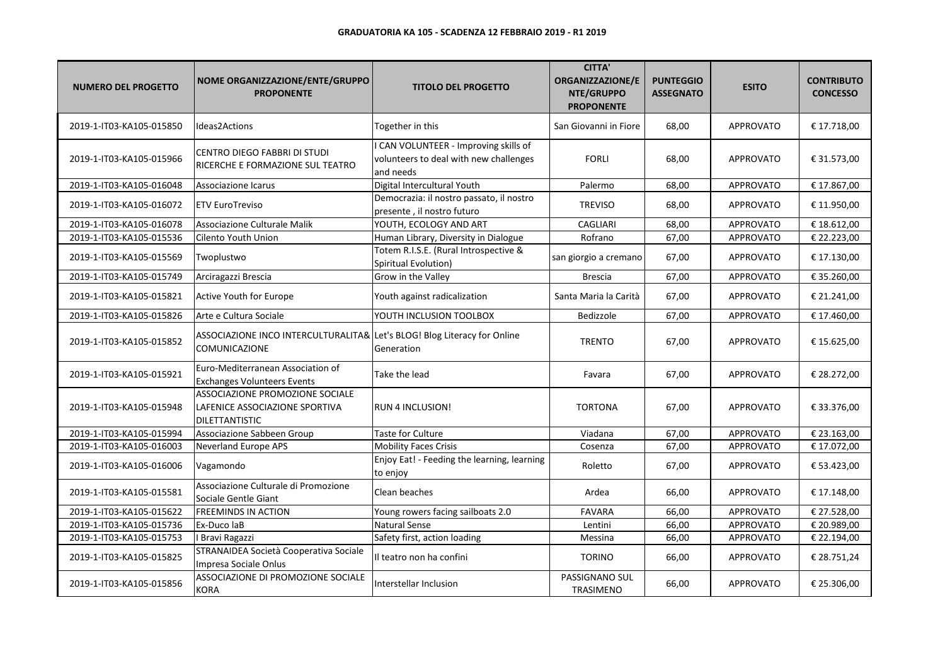| <b>NUMERO DEL PROGETTO</b> | NOME ORGANIZZAZIONE/ENTE/GRUPPO<br><b>PROPONENTE</b>                                      | <b>TITOLO DEL PROGETTO</b>                                                                 | <b>CITTA'</b><br>ORGANIZZAZIONE/E<br>NTE/GRUPPO<br><b>PROPONENTE</b> | <b>PUNTEGGIO</b><br><b>ASSEGNATO</b> | <b>ESITO</b>     | <b>CONTRIBUTO</b><br><b>CONCESSO</b> |
|----------------------------|-------------------------------------------------------------------------------------------|--------------------------------------------------------------------------------------------|----------------------------------------------------------------------|--------------------------------------|------------------|--------------------------------------|
| 2019-1-IT03-KA105-015850   | Ideas2Actions                                                                             | Together in this                                                                           | San Giovanni in Fiore                                                | 68,00                                | <b>APPROVATO</b> | € 17.718,00                          |
| 2019-1-IT03-KA105-015966   | CENTRO DIEGO FABBRI DI STUDI<br>RICERCHE E FORMAZIONE SUL TEATRO                          | CAN VOLUNTEER - Improving skills of<br>volunteers to deal with new challenges<br>and needs | <b>FORLI</b>                                                         | 68,00                                | <b>APPROVATO</b> | € 31.573,00                          |
| 2019-1-IT03-KA105-016048   | Associazione Icarus                                                                       | Digital Intercultural Youth                                                                | Palermo                                                              | 68,00                                | APPROVATO        | € 17.867,00                          |
| 2019-1-IT03-KA105-016072   | <b>ETV EuroTreviso</b>                                                                    | Democrazia: il nostro passato, il nostro<br>presente, il nostro futuro                     | <b>TREVISO</b>                                                       | 68,00                                | <b>APPROVATO</b> | € 11.950,00                          |
| 2019-1-IT03-KA105-016078   | Associazione Culturale Malik                                                              | YOUTH, ECOLOGY AND ART                                                                     | <b>CAGLIARI</b>                                                      | 68,00                                | <b>APPROVATO</b> | € 18.612,00                          |
| 2019-1-IT03-KA105-015536   | Cilento Youth Union                                                                       | Human Library, Diversity in Dialogue                                                       | Rofrano                                                              | 67,00                                | <b>APPROVATO</b> | € 22.223,00                          |
| 2019-1-IT03-KA105-015569   | Twoplustwo                                                                                | Totem R.I.S.E. (Rural Introspective &<br>Spiritual Evolution)                              | san giorgio a cremano                                                | 67,00                                | <b>APPROVATO</b> | € 17.130,00                          |
| 2019-1-IT03-KA105-015749   | Arciragazzi Brescia                                                                       | Grow in the Valley                                                                         | Brescia                                                              | 67,00                                | APPROVATO        | € 35.260,00                          |
| 2019-1-IT03-KA105-015821   | Active Youth for Europe                                                                   | Youth against radicalization                                                               | Santa Maria la Carità                                                | 67,00                                | <b>APPROVATO</b> | € 21.241,00                          |
| 2019-1-IT03-KA105-015826   | Arte e Cultura Sociale                                                                    | YOUTH INCLUSION TOOLBOX                                                                    | Bedizzole                                                            | 67,00                                | <b>APPROVATO</b> | € 17.460,00                          |
| 2019-1-IT03-KA105-015852   | ASSOCIAZIONE INCO INTERCULTURALITA& Let's BLOG! Blog Literacy for Online<br>COMUNICAZIONE | Generation                                                                                 | <b>TRENTO</b>                                                        | 67,00                                | <b>APPROVATO</b> | € 15.625,00                          |
| 2019-1-IT03-KA105-015921   | Euro-Mediterranean Association of<br><b>Exchanges Volunteers Events</b>                   | Take the lead                                                                              | Favara                                                               | 67,00                                | <b>APPROVATO</b> | € 28.272,00                          |
| 2019-1-IT03-KA105-015948   | ASSOCIAZIONE PROMOZIONE SOCIALE<br>LAFENICE ASSOCIAZIONE SPORTIVA<br>DILETTANTISTIC       | <b>RUN 4 INCLUSION!</b>                                                                    | <b>TORTONA</b>                                                       | 67,00                                | <b>APPROVATO</b> | € 33.376,00                          |
| 2019-1-IT03-KA105-015994   | Associazione Sabbeen Group                                                                | <b>Taste for Culture</b>                                                                   | Viadana                                                              | 67,00                                | <b>APPROVATO</b> | € 23.163,00                          |
| 2019-1-IT03-KA105-016003   | <b>Neverland Europe APS</b>                                                               | <b>Mobility Faces Crisis</b>                                                               | Cosenza                                                              | 67,00                                | APPROVATO        | € 17.072,00                          |
| 2019-1-IT03-KA105-016006   | Vagamondo                                                                                 | Enjoy Eat! - Feeding the learning, learning<br>to enjoy                                    | Roletto                                                              | 67,00                                | <b>APPROVATO</b> | € 53.423,00                          |
| 2019-1-IT03-KA105-015581   | Associazione Culturale di Promozione<br>Sociale Gentle Giant                              | Clean beaches                                                                              | Ardea                                                                | 66,00                                | <b>APPROVATO</b> | € 17.148,00                          |
| 2019-1-IT03-KA105-015622   | <b>FREEMINDS IN ACTION</b>                                                                | Young rowers facing sailboats 2.0                                                          | <b>FAVARA</b>                                                        | 66,00                                | <b>APPROVATO</b> | € 27.528,00                          |
| 2019-1-IT03-KA105-015736   | Ex-Duco laB                                                                               | <b>Natural Sense</b>                                                                       | Lentini                                                              | 66,00                                | <b>APPROVATO</b> | € 20.989,00                          |
| 2019-1-IT03-KA105-015753   | <b>Bravi Ragazzi</b>                                                                      | Safety first, action loading                                                               | Messina                                                              | 66,00                                | <b>APPROVATO</b> | € 22.194,00                          |
| 2019-1-IT03-KA105-015825   | STRANAIDEA Società Cooperativa Sociale<br>Impresa Sociale Onlus                           | Il teatro non ha confini                                                                   | <b>TORINO</b>                                                        | 66,00                                | APPROVATO        | € 28.751,24                          |
| 2019-1-IT03-KA105-015856   | ASSOCIAZIONE DI PROMOZIONE SOCIALE<br><b>KORA</b>                                         | Interstellar Inclusion                                                                     | PASSIGNANO SUL<br><b>TRASIMENO</b>                                   | 66,00                                | APPROVATO        | € 25.306,00                          |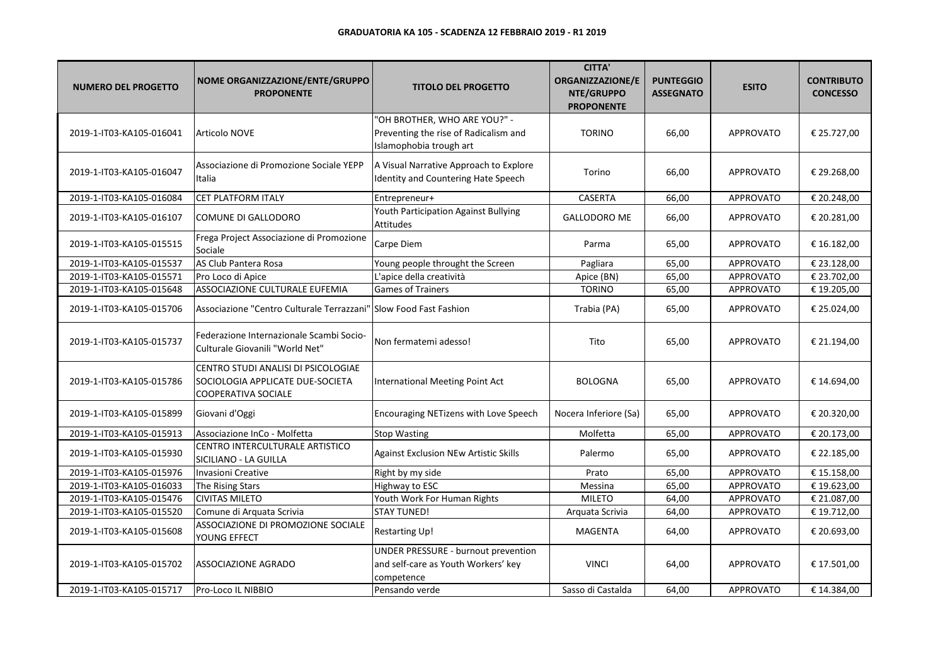| <b>NUMERO DEL PROGETTO</b> | NOME ORGANIZZAZIONE/ENTE/GRUPPO<br><b>PROPONENTE</b>                                           | <b>TITOLO DEL PROGETTO</b>                                                                       | <b>CITTA'</b><br><b>ORGANIZZAZIONE/E</b><br>NTE/GRUPPO<br><b>PROPONENTE</b> | <b>PUNTEGGIO</b><br><b>ASSEGNATO</b> | <b>ESITO</b>     | <b>CONTRIBUTO</b><br><b>CONCESSO</b> |
|----------------------------|------------------------------------------------------------------------------------------------|--------------------------------------------------------------------------------------------------|-----------------------------------------------------------------------------|--------------------------------------|------------------|--------------------------------------|
| 2019-1-IT03-KA105-016041   | Articolo NOVE                                                                                  | 'OH BROTHER, WHO ARE YOU?" -<br>Preventing the rise of Radicalism and<br>Islamophobia trough art | <b>TORINO</b>                                                               | 66,00                                | <b>APPROVATO</b> | € 25.727,00                          |
| 2019-1-IT03-KA105-016047   | Associazione di Promozione Sociale YEPP<br>Italia                                              | A Visual Narrative Approach to Explore<br>Identity and Countering Hate Speech                    | Torino                                                                      | 66,00                                | <b>APPROVATO</b> | € 29.268,00                          |
| 2019-1-IT03-KA105-016084   | CET PLATFORM ITALY                                                                             | Entrepreneur+                                                                                    | CASERTA                                                                     | 66,00                                | <b>APPROVATO</b> | € 20.248,00                          |
| 2019-1-IT03-KA105-016107   | COMUNE DI GALLODORO                                                                            | Youth Participation Against Bullying<br>Attitudes                                                | <b>GALLODORO ME</b>                                                         | 66,00                                | <b>APPROVATO</b> | € 20.281,00                          |
| 2019-1-IT03-KA105-015515   | Frega Project Associazione di Promozione<br>Sociale                                            | Carpe Diem                                                                                       | Parma                                                                       | 65,00                                | <b>APPROVATO</b> | € 16.182,00                          |
| 2019-1-IT03-KA105-015537   | AS Club Pantera Rosa                                                                           | Young people throught the Screen                                                                 | Pagliara                                                                    | 65,00                                | <b>APPROVATO</b> | € 23.128,00                          |
| 2019-1-IT03-KA105-015571   | Pro Loco di Apice                                                                              | L'apice della creatività                                                                         | Apice (BN)                                                                  | 65,00                                | APPROVATO        | € 23.702,00                          |
| 2019-1-IT03-KA105-015648   | ASSOCIAZIONE CULTURALE EUFEMIA                                                                 | <b>Games of Trainers</b>                                                                         | <b>TORINO</b>                                                               | 65,00                                | APPROVATO        | € 19.205,00                          |
| 2019-1-IT03-KA105-015706   | Associazione "Centro Culturale Terrazzani"   Slow Food Fast Fashion                            |                                                                                                  | Trabia (PA)                                                                 | 65,00                                | <b>APPROVATO</b> | € 25.024,00                          |
| 2019-1-IT03-KA105-015737   | Federazione Internazionale Scambi Socio-<br>Culturale Giovanili "World Net"                    | Non fermatemi adesso!                                                                            | Tito                                                                        | 65,00                                | <b>APPROVATO</b> | € 21.194,00                          |
| 2019-1-IT03-KA105-015786   | CENTRO STUDI ANALISI DI PSICOLOGIAE<br>SOCIOLOGIA APPLICATE DUE-SOCIETA<br>COOPERATIVA SOCIALE | International Meeting Point Act                                                                  | <b>BOLOGNA</b>                                                              | 65,00                                | <b>APPROVATO</b> | € 14.694,00                          |
| 2019-1-IT03-KA105-015899   | Giovani d'Oggi                                                                                 | Encouraging NETizens with Love Speech                                                            | Nocera Inferiore (Sa)                                                       | 65,00                                | <b>APPROVATO</b> | € 20.320,00                          |
| 2019-1-IT03-KA105-015913   | Associazione InCo - Molfetta                                                                   | <b>Stop Wasting</b>                                                                              | Molfetta                                                                    | 65,00                                | APPROVATO        | € 20.173,00                          |
| 2019-1-IT03-KA105-015930   | CENTRO INTERCULTURALE ARTISTICO<br>SICILIANO - LA GUILLA                                       | <b>Against Exclusion NEw Artistic Skills</b>                                                     | Palermo                                                                     | 65,00                                | <b>APPROVATO</b> | € 22.185,00                          |
| 2019-1-IT03-KA105-015976   | <b>Invasioni Creative</b>                                                                      | Right by my side                                                                                 | Prato                                                                       | 65,00                                | APPROVATO        | € 15.158,00                          |
| 2019-1-IT03-KA105-016033   | The Rising Stars                                                                               | Highway to ESC                                                                                   | Messina                                                                     | 65,00                                | APPROVATO        | € 19.623,00                          |
| 2019-1-IT03-KA105-015476   | CIVITAS MILETO                                                                                 | Youth Work For Human Rights                                                                      | <b>MILETO</b>                                                               | 64,00                                | APPROVATO        | € 21.087,00                          |
| 2019-1-IT03-KA105-015520   | Comune di Arquata Scrivia                                                                      | <b>STAY TUNED!</b>                                                                               | Arquata Scrivia                                                             | 64,00                                | <b>APPROVATO</b> | € 19.712,00                          |
| 2019-1-IT03-KA105-015608   | ASSOCIAZIONE DI PROMOZIONE SOCIALE<br>YOUNG EFFECT                                             | <b>Restarting Up!</b>                                                                            | <b>MAGENTA</b>                                                              | 64,00                                | <b>APPROVATO</b> | € 20.693,00                          |
| 2019-1-IT03-KA105-015702   | ASSOCIAZIONE AGRADO                                                                            | UNDER PRESSURE - burnout prevention<br>and self-care as Youth Workers' key<br>competence         | <b>VINCI</b>                                                                | 64,00                                | <b>APPROVATO</b> | € 17.501,00                          |
| 2019-1-IT03-KA105-015717   | Pro-Loco IL NIBBIO                                                                             | Pensando verde                                                                                   | Sasso di Castalda                                                           | 64,00                                | <b>APPROVATO</b> | € 14.384,00                          |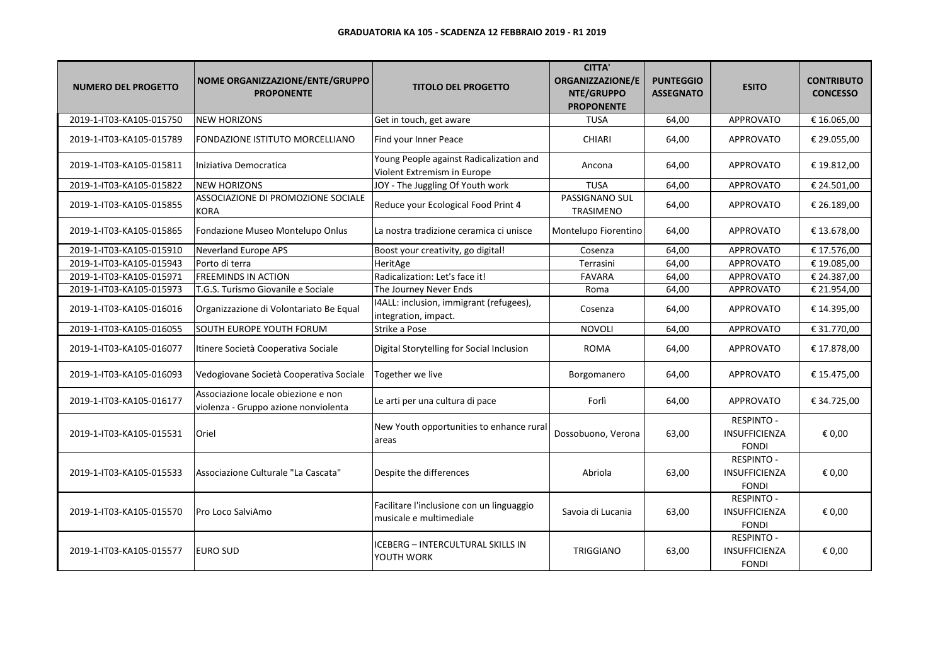| <b>NUMERO DEL PROGETTO</b> | NOME ORGANIZZAZIONE/ENTE/GRUPPO<br><b>PROPONENTE</b>                        | <b>TITOLO DEL PROGETTO</b>                                             | <b>CITTA'</b><br>ORGANIZZAZIONE/E<br>NTE/GRUPPO<br><b>PROPONENTE</b> | <b>PUNTEGGIO</b><br><b>ASSEGNATO</b> | <b>ESITO</b>                                              | <b>CONTRIBUTO</b><br><b>CONCESSO</b> |
|----------------------------|-----------------------------------------------------------------------------|------------------------------------------------------------------------|----------------------------------------------------------------------|--------------------------------------|-----------------------------------------------------------|--------------------------------------|
| 2019-1-IT03-KA105-015750   | <b>NEW HORIZONS</b>                                                         | Get in touch, get aware                                                | <b>TUSA</b>                                                          | 64.00                                | <b>APPROVATO</b>                                          | € 16.065,00                          |
| 2019-1-IT03-KA105-015789   | FONDAZIONE ISTITUTO MORCELLIANO                                             | Find your Inner Peace                                                  | <b>CHIARI</b>                                                        | 64,00                                | <b>APPROVATO</b>                                          | € 29.055,00                          |
| 2019-1-IT03-KA105-015811   | Iniziativa Democratica                                                      | Young People against Radicalization and<br>Violent Extremism in Europe | Ancona                                                               | 64,00                                | <b>APPROVATO</b>                                          | € 19.812,00                          |
| 2019-1-IT03-KA105-015822   | <b>NEW HORIZONS</b>                                                         | JOY - The Juggling Of Youth work                                       | <b>TUSA</b>                                                          | 64,00                                | <b>APPROVATO</b>                                          | € 24.501,00                          |
| 2019-1-IT03-KA105-015855   | ASSOCIAZIONE DI PROMOZIONE SOCIALE<br><b>KORA</b>                           | Reduce your Ecological Food Print 4                                    | PASSIGNANO SUL<br>TRASIMENO                                          | 64,00                                | <b>APPROVATO</b>                                          | € 26.189,00                          |
| 2019-1-IT03-KA105-015865   | Fondazione Museo Montelupo Onlus                                            | La nostra tradizione ceramica ci unisce                                | Montelupo Fiorentino                                                 | 64,00                                | <b>APPROVATO</b>                                          | € 13.678,00                          |
| 2019-1-IT03-KA105-015910   | <b>Neverland Europe APS</b>                                                 | Boost your creativity, go digital!                                     | Cosenza                                                              | 64,00                                | <b>APPROVATO</b>                                          | € 17.576,00                          |
| 2019-1-IT03-KA105-015943   | Porto di terra                                                              | HeritAge                                                               | Terrasini                                                            | 64,00                                | <b>APPROVATO</b>                                          | € 19.085,00                          |
| 2019-1-IT03-KA105-015971   | <b>FREEMINDS IN ACTION</b>                                                  | Radicalization: Let's face it!                                         | <b>FAVARA</b>                                                        | 64,00                                | APPROVATO                                                 | € 24.387,00                          |
| 2019-1-IT03-KA105-015973   | T.G.S. Turismo Giovanile e Sociale                                          | The Journey Never Ends                                                 | Roma                                                                 | 64,00                                | <b>APPROVATO</b>                                          | € 21.954,00                          |
| 2019-1-IT03-KA105-016016   | Organizzazione di Volontariato Be Equal                                     | 14ALL: inclusion, immigrant (refugees),<br>integration, impact.        | Cosenza                                                              | 64,00                                | <b>APPROVATO</b>                                          | € 14.395,00                          |
| 2019-1-IT03-KA105-016055   | SOUTH EUROPE YOUTH FORUM                                                    | Strike a Pose                                                          | <b>NOVOLI</b>                                                        | 64,00                                | <b>APPROVATO</b>                                          | € 31.770,00                          |
| 2019-1-IT03-KA105-016077   | Itinere Società Cooperativa Sociale                                         | Digital Storytelling for Social Inclusion                              | <b>ROMA</b>                                                          | 64,00                                | <b>APPROVATO</b>                                          | € 17.878,00                          |
| 2019-1-IT03-KA105-016093   | Vedogiovane Società Cooperativa Sociale                                     | Together we live                                                       | Borgomanero                                                          | 64,00                                | <b>APPROVATO</b>                                          | € 15.475,00                          |
| 2019-1-IT03-KA105-016177   | Associazione locale obiezione e non<br>violenza - Gruppo azione nonviolenta | Le arti per una cultura di pace                                        | Forlì                                                                | 64,00                                | <b>APPROVATO</b>                                          | € 34.725,00                          |
| 2019-1-IT03-KA105-015531   | Oriel                                                                       | New Youth opportunities to enhance rural<br>areas                      | Dossobuono, Verona                                                   | 63,00                                | <b>RESPINTO -</b><br><b>INSUFFICIENZA</b><br><b>FONDI</b> | € 0,00                               |
| 2019-1-IT03-KA105-015533   | Associazione Culturale "La Cascata"                                         | Despite the differences                                                | Abriola                                                              | 63,00                                | <b>RESPINTO -</b><br>INSUFFICIENZA<br><b>FONDI</b>        | € 0,00                               |
| 2019-1-IT03-KA105-015570   | Pro Loco SalviAmo                                                           | Facilitare l'inclusione con un linguaggio<br>musicale e multimediale   | Savoia di Lucania                                                    | 63,00                                | <b>RESPINTO -</b><br>INSUFFICIENZA<br><b>FONDI</b>        | € 0,00                               |
| 2019-1-IT03-KA105-015577   | <b>EURO SUD</b>                                                             | ICEBERG - INTERCULTURAL SKILLS IN<br>YOUTH WORK                        | <b>TRIGGIANO</b>                                                     | 63,00                                | <b>RESPINTO -</b><br>INSUFFICIENZA<br><b>FONDI</b>        | € 0,00                               |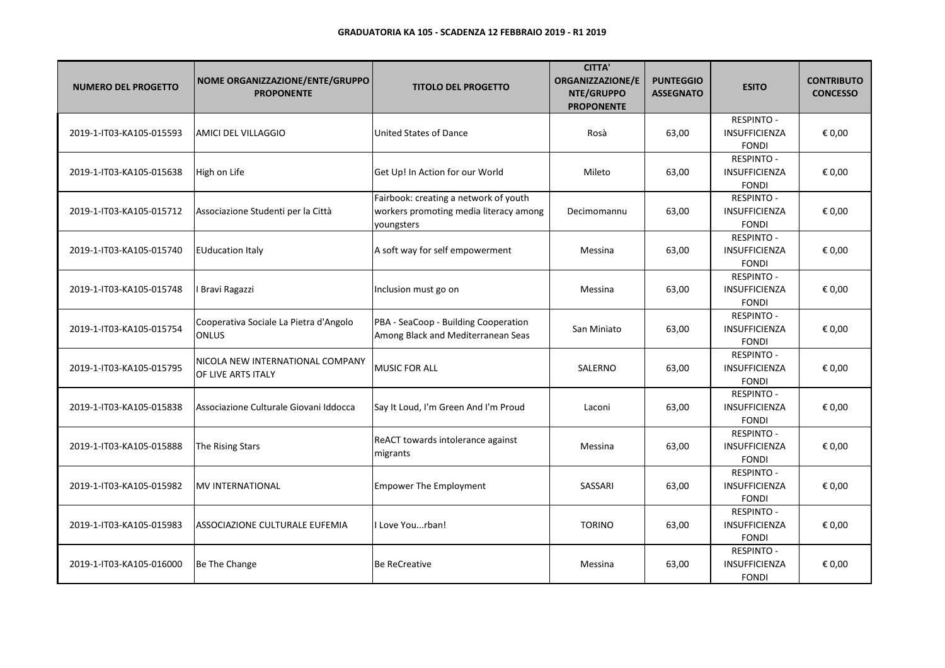| <b>NUMERO DEL PROGETTO</b> | NOME ORGANIZZAZIONE/ENTE/GRUPPO<br><b>PROPONENTE</b>   | <b>TITOLO DEL PROGETTO</b>                                                                    | <b>CITTA'</b><br>ORGANIZZAZIONE/E<br>NTE/GRUPPO<br><b>PROPONENTE</b> | <b>PUNTEGGIO</b><br><b>ASSEGNATO</b> | <b>ESITO</b>                                              | <b>CONTRIBUTO</b><br><b>CONCESSO</b> |
|----------------------------|--------------------------------------------------------|-----------------------------------------------------------------------------------------------|----------------------------------------------------------------------|--------------------------------------|-----------------------------------------------------------|--------------------------------------|
| 2019-1-IT03-KA105-015593   | AMICI DEL VILLAGGIO                                    | United States of Dance                                                                        | Rosà                                                                 | 63,00                                | <b>RESPINTO -</b><br>INSUFFICIENZA<br><b>FONDI</b>        | € 0,00                               |
| 2019-1-IT03-KA105-015638   | High on Life                                           | Get Up! In Action for our World                                                               | Mileto                                                               | 63,00                                | RESPINTO -<br>INSUFFICIENZA<br><b>FONDI</b>               | € 0,00                               |
| 2019-1-IT03-KA105-015712   | Associazione Studenti per la Città                     | Fairbook: creating a network of youth<br>workers promoting media literacy among<br>youngsters | Decimomannu                                                          | 63,00                                | <b>RESPINTO -</b><br><b>INSUFFICIENZA</b><br><b>FONDI</b> | € 0,00                               |
| 2019-1-IT03-KA105-015740   | <b>EUducation Italy</b>                                | A soft way for self empowerment                                                               | Messina                                                              | 63,00                                | <b>RESPINTO -</b><br><b>INSUFFICIENZA</b><br><b>FONDI</b> | € 0,00                               |
| 2019-1-IT03-KA105-015748   | <b>Bravi Ragazzi</b>                                   | Inclusion must go on                                                                          | Messina                                                              | 63,00                                | <b>RESPINTO -</b><br>INSUFFICIENZA<br><b>FONDI</b>        | € 0,00                               |
| 2019-1-IT03-KA105-015754   | Cooperativa Sociale La Pietra d'Angolo<br>ONLUS        | PBA - SeaCoop - Building Cooperation<br>Among Black and Mediterranean Seas                    | San Miniato                                                          | 63,00                                | <b>RESPINTO -</b><br><b>INSUFFICIENZA</b><br><b>FONDI</b> | € 0,00                               |
| 2019-1-IT03-KA105-015795   | NICOLA NEW INTERNATIONAL COMPANY<br>OF LIVE ARTS ITALY | <b>MUSIC FOR ALL</b>                                                                          | SALERNO                                                              | 63,00                                | <b>RESPINTO -</b><br>INSUFFICIENZA<br><b>FONDI</b>        | € 0,00                               |
| 2019-1-IT03-KA105-015838   | Associazione Culturale Giovani Iddocca                 | Say It Loud, I'm Green And I'm Proud                                                          | Laconi                                                               | 63,00                                | <b>RESPINTO -</b><br><b>INSUFFICIENZA</b><br><b>FONDI</b> | € 0,00                               |
| 2019-1-IT03-KA105-015888   | The Rising Stars                                       | ReACT towards intolerance against<br>migrants                                                 | Messina                                                              | 63,00                                | <b>RESPINTO -</b><br><b>INSUFFICIENZA</b><br><b>FONDI</b> | € 0,00                               |
| 2019-1-IT03-KA105-015982   | <b>MV INTERNATIONAL</b>                                | <b>Empower The Employment</b>                                                                 | SASSARI                                                              | 63,00                                | <b>RESPINTO -</b><br><b>INSUFFICIENZA</b><br><b>FONDI</b> | € 0,00                               |
| 2019-1-IT03-KA105-015983   | <b>ASSOCIAZIONE CULTURALE EUFEMIA</b>                  | I Love Yourban!                                                                               | <b>TORINO</b>                                                        | 63,00                                | <b>RESPINTO -</b><br><b>INSUFFICIENZA</b><br><b>FONDI</b> | € 0,00                               |
| 2019-1-IT03-KA105-016000   | Be The Change                                          | <b>Be ReCreative</b>                                                                          | Messina                                                              | 63,00                                | <b>RESPINTO -</b><br>INSUFFICIENZA<br><b>FONDI</b>        | € 0,00                               |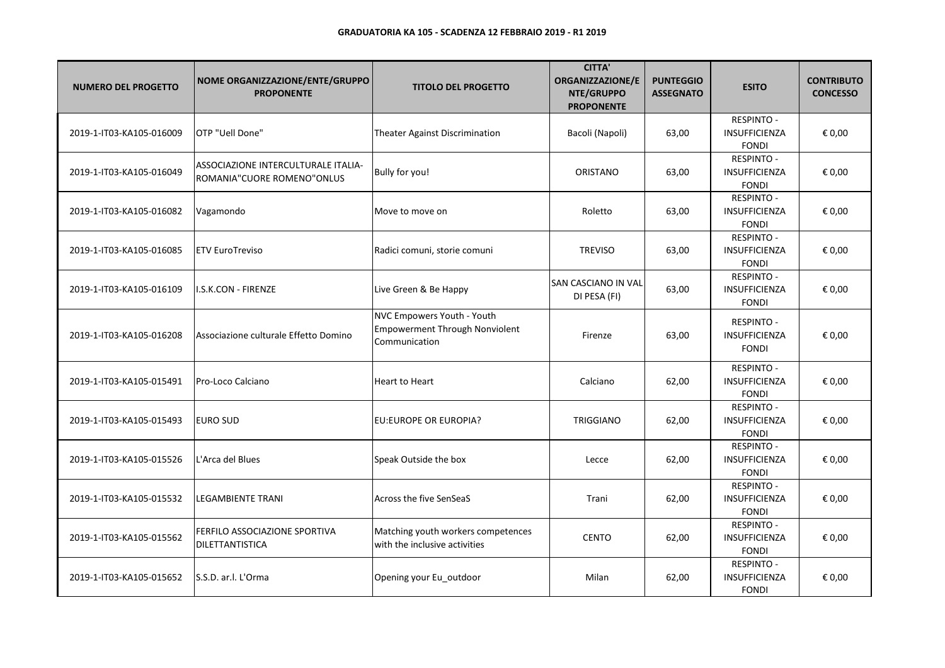| <b>NUMERO DEL PROGETTO</b> | NOME ORGANIZZAZIONE/ENTE/GRUPPO<br><b>PROPONENTE</b>              | <b>TITOLO DEL PROGETTO</b>                                                    | <b>CITTA'</b><br>ORGANIZZAZIONE/E<br>NTE/GRUPPO<br><b>PROPONENTE</b> | <b>PUNTEGGIO</b><br><b>ASSEGNATO</b> | <b>ESITO</b>                                       | <b>CONTRIBUTO</b><br><b>CONCESSO</b> |
|----------------------------|-------------------------------------------------------------------|-------------------------------------------------------------------------------|----------------------------------------------------------------------|--------------------------------------|----------------------------------------------------|--------------------------------------|
| 2019-1-IT03-KA105-016009   | OTP "Uell Done"                                                   | <b>Theater Against Discrimination</b>                                         | Bacoli (Napoli)                                                      | 63,00                                | RESPINTO -<br><b>INSUFFICIENZA</b><br><b>FONDI</b> | € 0,00                               |
| 2019-1-IT03-KA105-016049   | ASSOCIAZIONE INTERCULTURALE ITALIA-<br>ROMANIA"CUORE ROMENO"ONLUS | Bully for you!                                                                | ORISTANO                                                             | 63,00                                | <b>RESPINTO -</b><br>INSUFFICIENZA<br><b>FONDI</b> | € 0,00                               |
| 2019-1-IT03-KA105-016082   | Vagamondo                                                         | Move to move on                                                               | Roletto                                                              | 63,00                                | <b>RESPINTO -</b><br>INSUFFICIENZA<br><b>FONDI</b> | € 0,00                               |
| 2019-1-IT03-KA105-016085   | <b>ETV EuroTreviso</b>                                            | Radici comuni, storie comuni                                                  | <b>TREVISO</b>                                                       | 63,00                                | <b>RESPINTO -</b><br>INSUFFICIENZA<br><b>FONDI</b> | € 0,00                               |
| 2019-1-IT03-KA105-016109   | I.S.K.CON - FIRENZE                                               | Live Green & Be Happy                                                         | SAN CASCIANO IN VAL<br>DI PESA (FI)                                  | 63,00                                | <b>RESPINTO -</b><br>INSUFFICIENZA<br><b>FONDI</b> | € 0,00                               |
| 2019-1-IT03-KA105-016208   | Associazione culturale Effetto Domino                             | NVC Empowers Youth - Youth<br>Empowerment Through Nonviolent<br>Communication | Firenze                                                              | 63,00                                | RESPINTO -<br>INSUFFICIENZA<br><b>FONDI</b>        | € 0,00                               |
| 2019-1-IT03-KA105-015491   | Pro-Loco Calciano                                                 | <b>Heart to Heart</b>                                                         | Calciano                                                             | 62,00                                | <b>RESPINTO -</b><br>INSUFFICIENZA<br><b>FONDI</b> | € 0,00                               |
| 2019-1-IT03-KA105-015493   | <b>EURO SUD</b>                                                   | EU:EUROPE OR EUROPIA?                                                         | <b>TRIGGIANO</b>                                                     | 62,00                                | <b>RESPINTO -</b><br>INSUFFICIENZA<br><b>FONDI</b> | € 0,00                               |
| 2019-1-IT03-KA105-015526   | L'Arca del Blues                                                  | Speak Outside the box                                                         | Lecce                                                                | 62,00                                | RESPINTO -<br><b>INSUFFICIENZA</b><br><b>FONDI</b> | € 0,00                               |
| 2019-1-IT03-KA105-015532   | <b>LEGAMBIENTE TRANI</b>                                          | Across the five SenSeaS                                                       | Trani                                                                | 62,00                                | <b>RESPINTO -</b><br>INSUFFICIENZA<br><b>FONDI</b> | € 0,00                               |
| 2019-1-IT03-KA105-015562   | FERFILO ASSOCIAZIONE SPORTIVA<br><b>DILETTANTISTICA</b>           | Matching youth workers competences<br>with the inclusive activities           | <b>CENTO</b>                                                         | 62,00                                | <b>RESPINTO -</b><br>INSUFFICIENZA<br><b>FONDI</b> | € 0,00                               |
| 2019-1-IT03-KA105-015652   | S.S.D. ar.l. L'Orma                                               | Opening your Eu_outdoor                                                       | Milan                                                                | 62,00                                | <b>RESPINTO -</b><br>INSUFFICIENZA<br><b>FONDI</b> | € 0,00                               |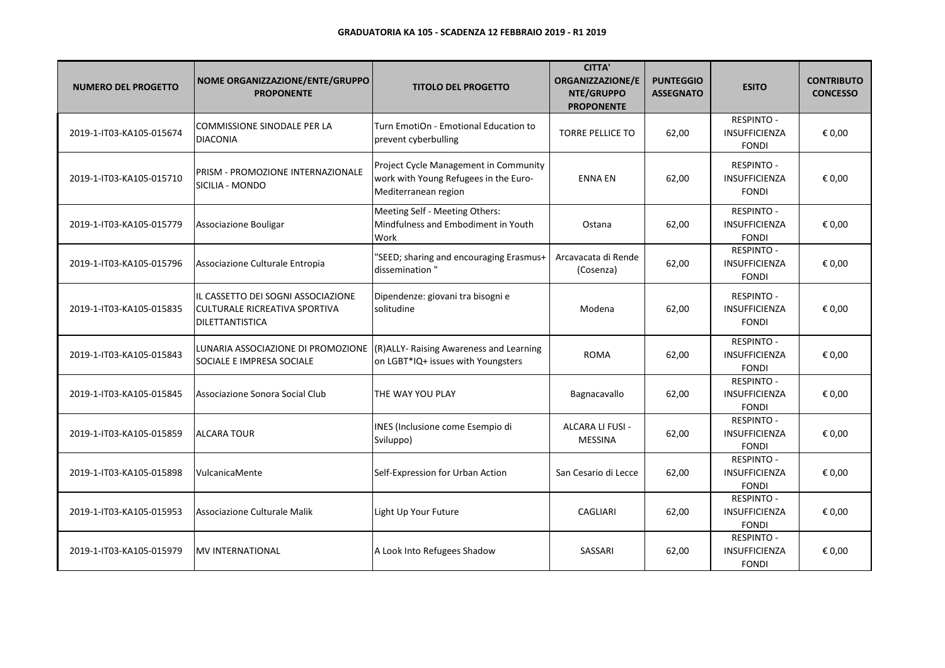| <b>NUMERO DEL PROGETTO</b> | NOME ORGANIZZAZIONE/ENTE/GRUPPO<br><b>PROPONENTE</b>                                          | <b>TITOLO DEL PROGETTO</b>                                                                             | <b>CITTA'</b><br>ORGANIZZAZIONE/E<br>NTE/GRUPPO<br><b>PROPONENTE</b> | <b>PUNTEGGIO</b><br><b>ASSEGNATO</b> | <b>ESITO</b>                                              | <b>CONTRIBUTO</b><br><b>CONCESSO</b> |
|----------------------------|-----------------------------------------------------------------------------------------------|--------------------------------------------------------------------------------------------------------|----------------------------------------------------------------------|--------------------------------------|-----------------------------------------------------------|--------------------------------------|
| 2019-1-IT03-KA105-015674   | COMMISSIONE SINODALE PER LA<br><b>DIACONIA</b>                                                | Turn EmotiOn - Emotional Education to<br>prevent cyberbulling                                          | <b>TORRE PELLICE TO</b>                                              | 62,00                                | <b>RESPINTO -</b><br>INSUFFICIENZA<br><b>FONDI</b>        | € 0,00                               |
| 2019-1-IT03-KA105-015710   | PRISM - PROMOZIONE INTERNAZIONALE<br>SICILIA - MONDO                                          | Project Cycle Management in Community<br>work with Young Refugees in the Euro-<br>Mediterranean region | <b>ENNA EN</b>                                                       | 62,00                                | <b>RESPINTO -</b><br><b>INSUFFICIENZA</b><br><b>FONDI</b> | € 0,00                               |
| 2019-1-IT03-KA105-015779   | Associazione Bouligar                                                                         | Meeting Self - Meeting Others:<br>Mindfulness and Embodiment in Youth<br>Work                          | Ostana                                                               | 62,00                                | <b>RESPINTO -</b><br>INSUFFICIENZA<br><b>FONDI</b>        | € 0,00                               |
| 2019-1-IT03-KA105-015796   | Associazione Culturale Entropia                                                               | "SEED; sharing and encouraging Erasmus+<br>dissemination"                                              | Arcavacata di Rende<br>(Cosenza)                                     | 62,00                                | <b>RESPINTO -</b><br><b>INSUFFICIENZA</b><br><b>FONDI</b> | € 0,00                               |
| 2019-1-IT03-KA105-015835   | IL CASSETTO DEI SOGNI ASSOCIAZIONE<br><b>CULTURALE RICREATIVA SPORTIVA</b><br>DILETTANTISTICA | Dipendenze: giovani tra bisogni e<br>solitudine                                                        | Modena                                                               | 62.00                                | <b>RESPINTO -</b><br><b>INSUFFICIENZA</b><br><b>FONDI</b> | € 0,00                               |
| 2019-1-IT03-KA105-015843   | LUNARIA ASSOCIAZIONE DI PROMOZIONE<br>SOCIALE E IMPRESA SOCIALE                               | (R)ALLY- Raising Awareness and Learning<br>on LGBT*IQ+ issues with Youngsters                          | <b>ROMA</b>                                                          | 62,00                                | <b>RESPINTO -</b><br><b>INSUFFICIENZA</b><br><b>FONDI</b> | € 0,00                               |
| 2019-1-IT03-KA105-015845   | Associazione Sonora Social Club                                                               | THE WAY YOU PLAY                                                                                       | Bagnacavallo                                                         | 62,00                                | <b>RESPINTO -</b><br>INSUFFICIENZA<br><b>FONDI</b>        | € 0,00                               |
| 2019-1-IT03-KA105-015859   | <b>ALCARA TOUR</b>                                                                            | INES (Inclusione come Esempio di<br>Sviluppo)                                                          | ALCARA LI FUSI -<br><b>MESSINA</b>                                   | 62,00                                | <b>RESPINTO -</b><br><b>INSUFFICIENZA</b><br><b>FONDI</b> | € 0,00                               |
| 2019-1-IT03-KA105-015898   | VulcanicaMente                                                                                | Self-Expression for Urban Action                                                                       | San Cesario di Lecce                                                 | 62,00                                | <b>RESPINTO -</b><br>INSUFFICIENZA<br><b>FONDI</b>        | € 0,00                               |
| 2019-1-IT03-KA105-015953   | Associazione Culturale Malik                                                                  | Light Up Your Future                                                                                   | <b>CAGLIARI</b>                                                      | 62,00                                | RESPINTO -<br>INSUFFICIENZA<br><b>FONDI</b>               | € 0,00                               |
| 2019-1-IT03-KA105-015979   | <b>MV INTERNATIONAL</b>                                                                       | A Look Into Refugees Shadow                                                                            | SASSARI                                                              | 62,00                                | <b>RESPINTO -</b><br><b>INSUFFICIENZA</b><br><b>FONDI</b> | € 0,00                               |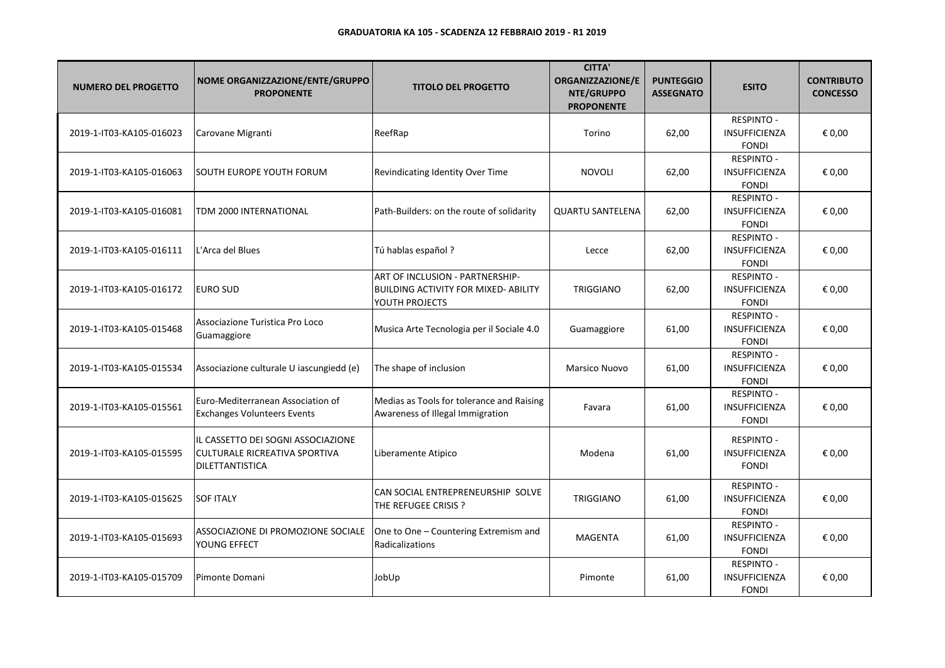| <b>NUMERO DEL PROGETTO</b> | NOME ORGANIZZAZIONE/ENTE/GRUPPO<br><b>PROPONENTE</b>                                          | <b>TITOLO DEL PROGETTO</b>                                                                       | <b>CITTA'</b><br><b>ORGANIZZAZIONE/E</b><br>NTE/GRUPPO<br><b>PROPONENTE</b> | <b>PUNTEGGIO</b><br><b>ASSEGNATO</b> | <b>ESITO</b>                                              | <b>CONTRIBUTO</b><br><b>CONCESSO</b> |
|----------------------------|-----------------------------------------------------------------------------------------------|--------------------------------------------------------------------------------------------------|-----------------------------------------------------------------------------|--------------------------------------|-----------------------------------------------------------|--------------------------------------|
| 2019-1-IT03-KA105-016023   | Carovane Migranti                                                                             | ReefRap                                                                                          | Torino                                                                      | 62,00                                | <b>RESPINTO -</b><br><b>INSUFFICIENZA</b><br><b>FONDI</b> | € 0,00                               |
| 2019-1-IT03-KA105-016063   | ISOUTH EUROPE YOUTH FORUM                                                                     | Revindicating Identity Over Time                                                                 | <b>NOVOLI</b>                                                               | 62,00                                | <b>RESPINTO -</b><br><b>INSUFFICIENZA</b><br><b>FONDI</b> | € 0,00                               |
| 2019-1-IT03-KA105-016081   | TDM 2000 INTERNATIONAL                                                                        | Path-Builders: on the route of solidarity                                                        | QUARTU SANTELENA                                                            | 62,00                                | <b>RESPINTO -</b><br><b>INSUFFICIENZA</b><br><b>FONDI</b> | € 0,00                               |
| 2019-1-IT03-KA105-016111   | L'Arca del Blues                                                                              | Tú hablas español ?                                                                              | Lecce                                                                       | 62,00                                | <b>RESPINTO -</b><br>INSUFFICIENZA<br><b>FONDI</b>        | € 0,00                               |
| 2019-1-IT03-KA105-016172   | <b>EURO SUD</b>                                                                               | ART OF INCLUSION - PARTNERSHIP-<br><b>BUILDING ACTIVITY FOR MIXED- ABILITY</b><br>YOUTH PROJECTS | <b>TRIGGIANO</b>                                                            | 62,00                                | <b>RESPINTO -</b><br><b>INSUFFICIENZA</b><br><b>FONDI</b> | € 0,00                               |
| 2019-1-IT03-KA105-015468   | Associazione Turistica Pro Loco<br>Guamaggiore                                                | Musica Arte Tecnologia per il Sociale 4.0                                                        | Guamaggiore                                                                 | 61,00                                | <b>RESPINTO -</b><br><b>INSUFFICIENZA</b><br><b>FONDI</b> | € 0,00                               |
| 2019-1-IT03-KA105-015534   | Associazione culturale U iascungiedd (e)                                                      | The shape of inclusion                                                                           | Marsico Nuovo                                                               | 61,00                                | RESPINTO -<br>INSUFFICIENZA<br><b>FONDI</b>               | € 0,00                               |
| 2019-1-IT03-KA105-015561   | Euro-Mediterranean Association of<br><b>Exchanges Volunteers Events</b>                       | Medias as Tools for tolerance and Raising<br>Awareness of Illegal Immigration                    | Favara                                                                      | 61,00                                | <b>RESPINTO -</b><br><b>INSUFFICIENZA</b><br><b>FONDI</b> | € 0,00                               |
| 2019-1-IT03-KA105-015595   | IL CASSETTO DEI SOGNI ASSOCIAZIONE<br><b>CULTURALE RICREATIVA SPORTIVA</b><br>DILETTANTISTICA | Liberamente Atipico                                                                              | Modena                                                                      | 61,00                                | <b>RESPINTO -</b><br><b>INSUFFICIENZA</b><br><b>FONDI</b> | € 0,00                               |
| 2019-1-IT03-KA105-015625   | <b>SOF ITALY</b>                                                                              | CAN SOCIAL ENTREPRENEURSHIP SOLVE<br>THE REFUGEE CRISIS ?                                        | <b>TRIGGIANO</b>                                                            | 61,00                                | <b>RESPINTO -</b><br>INSUFFICIENZA<br><b>FONDI</b>        | € 0,00                               |
| 2019-1-IT03-KA105-015693   | ASSOCIAZIONE DI PROMOZIONE SOCIALE<br>YOUNG EFFECT                                            | One to One - Countering Extremism and<br>Radicalizations                                         | <b>MAGENTA</b>                                                              | 61,00                                | <b>RESPINTO -</b><br>INSUFFICIENZA<br><b>FONDI</b>        | € 0,00                               |
| 2019-1-IT03-KA105-015709   | lPimonte Domani                                                                               | JobUp                                                                                            | Pimonte                                                                     | 61,00                                | <b>RESPINTO -</b><br><b>INSUFFICIENZA</b><br><b>FONDI</b> | € 0,00                               |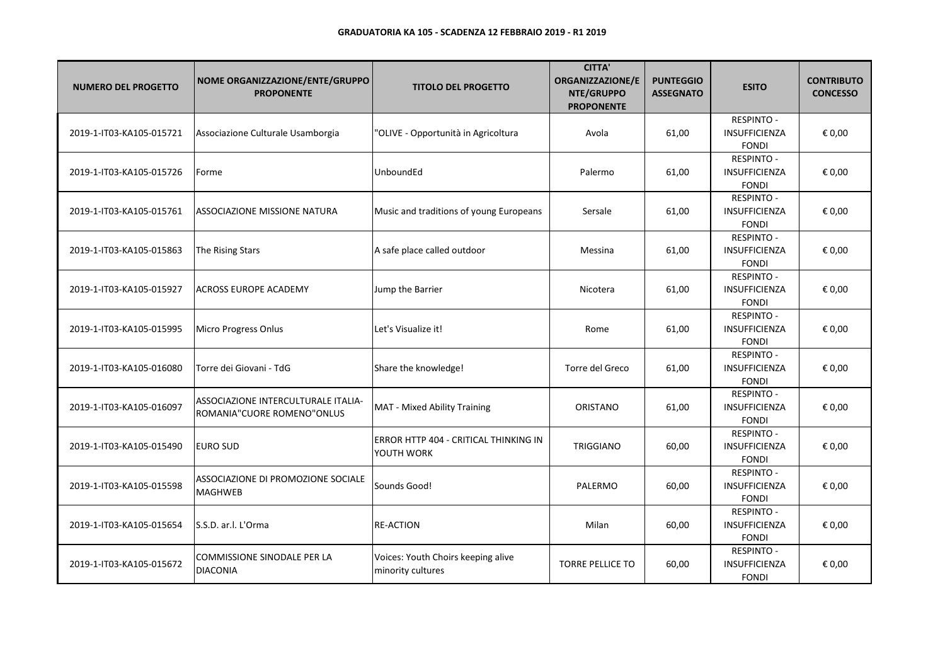| <b>NUMERO DEL PROGETTO</b> | NOME ORGANIZZAZIONE/ENTE/GRUPPO<br><b>PROPONENTE</b>              | <b>TITOLO DEL PROGETTO</b>                              | <b>CITTA'</b><br><b>ORGANIZZAZIONE/E</b><br>NTE/GRUPPO<br><b>PROPONENTE</b> | <b>PUNTEGGIO</b><br><b>ASSEGNATO</b> | <b>ESITO</b>                                              | <b>CONTRIBUTO</b><br><b>CONCESSO</b> |
|----------------------------|-------------------------------------------------------------------|---------------------------------------------------------|-----------------------------------------------------------------------------|--------------------------------------|-----------------------------------------------------------|--------------------------------------|
| 2019-1-IT03-KA105-015721   | Associazione Culturale Usamborgia                                 | "OLIVE - Opportunità in Agricoltura                     | Avola                                                                       | 61,00                                | RESPINTO -<br><b>INSUFFICIENZA</b><br><b>FONDI</b>        | € 0,00                               |
| 2019-1-IT03-KA105-015726   | Forme                                                             | UnboundEd                                               | Palermo                                                                     | 61,00                                | <b>RESPINTO -</b><br>INSUFFICIENZA<br><b>FONDI</b>        | € 0,00                               |
| 2019-1-IT03-KA105-015761   | ASSOCIAZIONE MISSIONE NATURA                                      | Music and traditions of young Europeans                 | Sersale                                                                     | 61,00                                | <b>RESPINTO -</b><br><b>INSUFFICIENZA</b><br><b>FONDI</b> | € 0,00                               |
| 2019-1-IT03-KA105-015863   | The Rising Stars                                                  | A safe place called outdoor                             | Messina                                                                     | 61,00                                | <b>RESPINTO -</b><br>INSUFFICIENZA<br><b>FONDI</b>        | € 0,00                               |
| 2019-1-IT03-KA105-015927   | <b>ACROSS EUROPE ACADEMY</b>                                      | Jump the Barrier                                        | Nicotera                                                                    | 61,00                                | <b>RESPINTO -</b><br>INSUFFICIENZA<br><b>FONDI</b>        | € 0,00                               |
| 2019-1-IT03-KA105-015995   | Micro Progress Onlus                                              | Let's Visualize it!                                     | Rome                                                                        | 61,00                                | <b>RESPINTO -</b><br>INSUFFICIENZA<br><b>FONDI</b>        | € 0,00                               |
| 2019-1-IT03-KA105-016080   | Torre dei Giovani - TdG                                           | Share the knowledge!                                    | Torre del Greco                                                             | 61,00                                | RESPINTO -<br><b>INSUFFICIENZA</b><br><b>FONDI</b>        | € 0,00                               |
| 2019-1-IT03-KA105-016097   | ASSOCIAZIONE INTERCULTURALE ITALIA-<br>ROMANIA"CUORE ROMENO"ONLUS | MAT - Mixed Ability Training                            | <b>ORISTANO</b>                                                             | 61,00                                | <b>RESPINTO -</b><br><b>INSUFFICIENZA</b><br><b>FONDI</b> | € 0,00                               |
| 2019-1-IT03-KA105-015490   | <b>EURO SUD</b>                                                   | ERROR HTTP 404 - CRITICAL THINKING IN<br>YOUTH WORK     | <b>TRIGGIANO</b>                                                            | 60,00                                | <b>RESPINTO -</b><br>INSUFFICIENZA<br><b>FONDI</b>        | € 0,00                               |
| 2019-1-IT03-KA105-015598   | ASSOCIAZIONE DI PROMOZIONE SOCIALE<br>MAGHWEB                     | Sounds Good!                                            | PALERMO                                                                     | 60,00                                | <b>RESPINTO -</b><br><b>INSUFFICIENZA</b><br><b>FONDI</b> | € 0,00                               |
| 2019-1-IT03-KA105-015654   | S.S.D. ar.l. L'Orma                                               | <b>RE-ACTION</b>                                        | Milan                                                                       | 60,00                                | <b>RESPINTO -</b><br>INSUFFICIENZA<br><b>FONDI</b>        | € 0,00                               |
| 2019-1-IT03-KA105-015672   | COMMISSIONE SINODALE PER LA<br>DIACONIA                           | Voices: Youth Choirs keeping alive<br>minority cultures | <b>TORRE PELLICE TO</b>                                                     | 60,00                                | <b>RESPINTO -</b><br>INSUFFICIENZA<br><b>FONDI</b>        | € 0,00                               |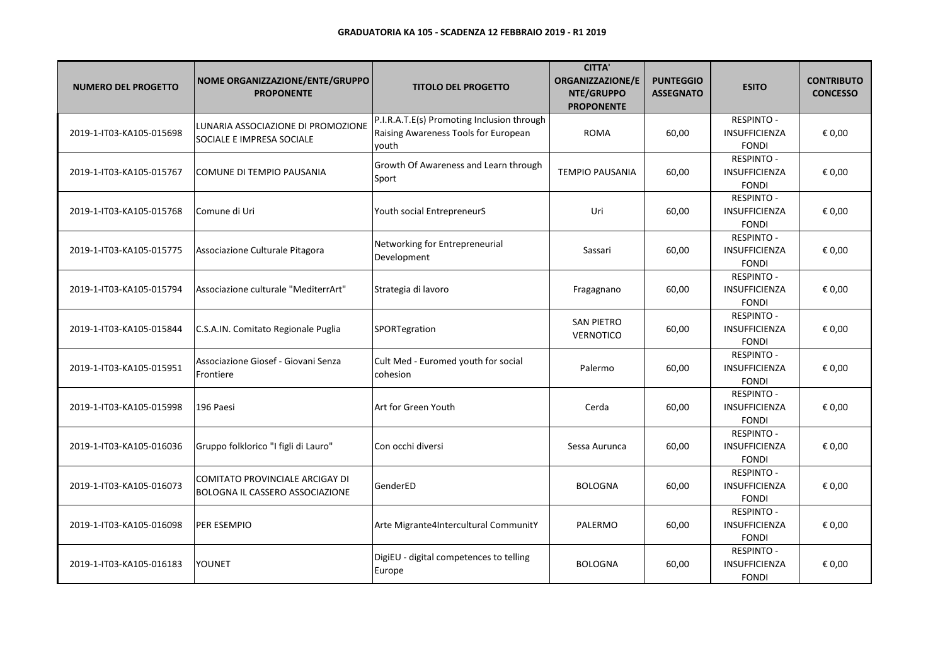| <b>NUMERO DEL PROGETTO</b> | NOME ORGANIZZAZIONE/ENTE/GRUPPO<br><b>PROPONENTE</b>               | <b>TITOLO DEL PROGETTO</b>                                                                  | <b>CITTA'</b><br><b>ORGANIZZAZIONE/E</b><br>NTE/GRUPPO<br><b>PROPONENTE</b> | <b>PUNTEGGIO</b><br><b>ASSEGNATO</b> | <b>ESITO</b>                                              | <b>CONTRIBUTO</b><br><b>CONCESSO</b> |
|----------------------------|--------------------------------------------------------------------|---------------------------------------------------------------------------------------------|-----------------------------------------------------------------------------|--------------------------------------|-----------------------------------------------------------|--------------------------------------|
| 2019-1-IT03-KA105-015698   | LUNARIA ASSOCIAZIONE DI PROMOZIONE<br>SOCIALE E IMPRESA SOCIALE    | P.I.R.A.T.E(s) Promoting Inclusion through<br>Raising Awareness Tools for European<br>youth | <b>ROMA</b>                                                                 | 60,00                                | <b>RESPINTO -</b><br><b>INSUFFICIENZA</b><br><b>FONDI</b> | € 0,00                               |
| 2019-1-IT03-KA105-015767   | COMUNE DI TEMPIO PAUSANIA                                          | Growth Of Awareness and Learn through<br>Sport                                              | <b>TEMPIO PAUSANIA</b>                                                      | 60,00                                | <b>RESPINTO -</b><br><b>INSUFFICIENZA</b><br><b>FONDI</b> | € 0,00                               |
| 2019-1-IT03-KA105-015768   | Comune di Uri                                                      | Youth social EntrepreneurS                                                                  | Uri                                                                         | 60,00                                | <b>RESPINTO -</b><br><b>INSUFFICIENZA</b><br><b>FONDI</b> | € 0,00                               |
| 2019-1-IT03-KA105-015775   | Associazione Culturale Pitagora                                    | Networking for Entrepreneurial<br>Development                                               | Sassari                                                                     | 60,00                                | <b>RESPINTO -</b><br><b>INSUFFICIENZA</b><br><b>FONDI</b> | € 0,00                               |
| 2019-1-IT03-KA105-015794   | Associazione culturale "MediterrArt"                               | Strategia di lavoro                                                                         | Fragagnano                                                                  | 60,00                                | <b>RESPINTO -</b><br><b>INSUFFICIENZA</b><br><b>FONDI</b> | € 0,00                               |
| 2019-1-IT03-KA105-015844   | C.S.A.IN. Comitato Regionale Puglia                                | SPORTegration                                                                               | <b>SAN PIETRO</b><br>VERNOTICO                                              | 60,00                                | <b>RESPINTO -</b><br>INSUFFICIENZA<br><b>FONDI</b>        | € 0,00                               |
| 2019-1-IT03-KA105-015951   | Associazione Giosef - Giovani Senza<br>Frontiere                   | Cult Med - Euromed youth for social<br>cohesion                                             | Palermo                                                                     | 60,00                                | <b>RESPINTO -</b><br><b>INSUFFICIENZA</b><br><b>FONDI</b> | € 0,00                               |
| 2019-1-IT03-KA105-015998   | 196 Paesi                                                          | Art for Green Youth                                                                         | Cerda                                                                       | 60,00                                | <b>RESPINTO -</b><br><b>INSUFFICIENZA</b><br><b>FONDI</b> | € 0,00                               |
| 2019-1-IT03-KA105-016036   | Gruppo folklorico "I figli di Lauro"                               | lCon occhi diversi                                                                          | Sessa Aurunca                                                               | 60,00                                | <b>RESPINTO -</b><br>INSUFFICIENZA<br><b>FONDI</b>        | € 0,00                               |
| 2019-1-IT03-KA105-016073   | COMITATO PROVINCIALE ARCIGAY DI<br>BOLOGNA IL CASSERO ASSOCIAZIONE | GenderED                                                                                    | <b>BOLOGNA</b>                                                              | 60,00                                | <b>RESPINTO -</b><br><b>INSUFFICIENZA</b><br><b>FONDI</b> | € 0,00                               |
| 2019-1-IT03-KA105-016098   | PER ESEMPIO                                                        | Arte Migrante4Intercultural CommunitY                                                       | PALERMO                                                                     | 60,00                                | <b>RESPINTO -</b><br>INSUFFICIENZA<br><b>FONDI</b>        | € 0,00                               |
| 2019-1-IT03-KA105-016183   | YOUNET                                                             | DigiEU - digital competences to telling<br>Europe                                           | <b>BOLOGNA</b>                                                              | 60,00                                | <b>RESPINTO -</b><br>INSUFFICIENZA<br><b>FONDI</b>        | € 0,00                               |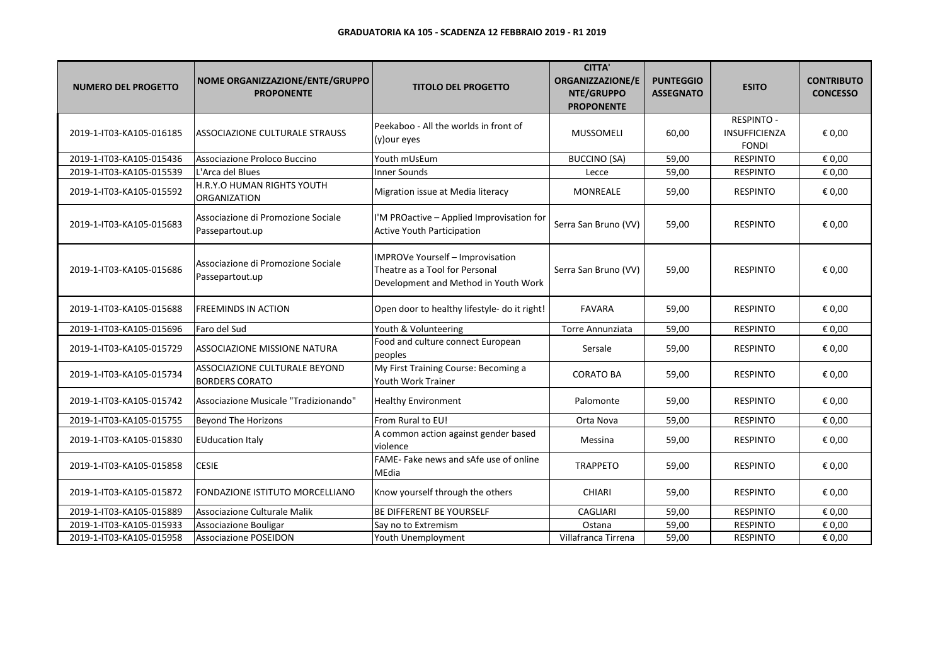| <b>NUMERO DEL PROGETTO</b> | NOME ORGANIZZAZIONE/ENTE/GRUPPO<br><b>PROPONENTE</b>   | <b>TITOLO DEL PROGETTO</b>                                                                                 | <b>CITTA'</b><br>ORGANIZZAZIONE/E<br>NTE/GRUPPO<br><b>PROPONENTE</b> | <b>PUNTEGGIO</b><br><b>ASSEGNATO</b> | <b>ESITO</b>                                              | <b>CONTRIBUTO</b><br><b>CONCESSO</b> |
|----------------------------|--------------------------------------------------------|------------------------------------------------------------------------------------------------------------|----------------------------------------------------------------------|--------------------------------------|-----------------------------------------------------------|--------------------------------------|
| 2019-1-IT03-KA105-016185   | ASSOCIAZIONE CULTURALE STRAUSS                         | Peekaboo - All the worlds in front of<br>(y) our eyes                                                      | <b>MUSSOMELI</b>                                                     | 60,00                                | <b>RESPINTO -</b><br><b>INSUFFICIENZA</b><br><b>FONDI</b> | € 0,00                               |
| 2019-1-IT03-KA105-015436   | Associazione Proloco Buccino                           | Youth mUsEum                                                                                               | <b>BUCCINO (SA)</b>                                                  | 59,00                                | <b>RESPINTO</b>                                           | € 0,00                               |
| 2019-1-IT03-KA105-015539   | L'Arca del Blues                                       | <b>Inner Sounds</b>                                                                                        | Lecce                                                                | 59,00                                | <b>RESPINTO</b>                                           | € 0,00                               |
| 2019-1-IT03-KA105-015592   | H.R.Y.O HUMAN RIGHTS YOUTH<br><b>ORGANIZATION</b>      | Migration issue at Media literacy                                                                          | MONREALE                                                             | 59,00                                | <b>RESPINTO</b>                                           | € 0,00                               |
| 2019-1-IT03-KA105-015683   | Associazione di Promozione Sociale<br>Passepartout.up  | I'M PROactive - Applied Improvisation for<br><b>Active Youth Participation</b>                             | Serra San Bruno (VV)                                                 | 59,00                                | <b>RESPINTO</b>                                           | € 0,00                               |
| 2019-1-IT03-KA105-015686   | Associazione di Promozione Sociale<br>Passepartout.up  | IMPROVe Yourself - Improvisation<br>Theatre as a Tool for Personal<br>Development and Method in Youth Work | Serra San Bruno (VV)                                                 | 59,00                                | <b>RESPINTO</b>                                           | € 0,00                               |
| 2019-1-IT03-KA105-015688   | <b>FREEMINDS IN ACTION</b>                             | Open door to healthy lifestyle- do it right!                                                               | <b>FAVARA</b>                                                        | 59,00                                | <b>RESPINTO</b>                                           | € 0,00                               |
| 2019-1-IT03-KA105-015696   | Faro del Sud                                           | Youth & Volunteering                                                                                       | <b>Torre Annunziata</b>                                              | 59,00                                | <b>RESPINTO</b>                                           | € 0,00                               |
| 2019-1-IT03-KA105-015729   | <b>ASSOCIAZIONE MISSIONE NATURA</b>                    | Food and culture connect European<br>peoples                                                               | Sersale                                                              | 59,00                                | <b>RESPINTO</b>                                           | € 0,00                               |
| 2019-1-IT03-KA105-015734   | ASSOCIAZIONE CULTURALE BEYOND<br><b>BORDERS CORATO</b> | My First Training Course: Becoming a<br>Youth Work Trainer                                                 | <b>CORATO BA</b>                                                     | 59,00                                | <b>RESPINTO</b>                                           | € 0,00                               |
| 2019-1-IT03-KA105-015742   | Associazione Musicale "Tradizionando"                  | <b>Healthy Environment</b>                                                                                 | Palomonte                                                            | 59,00                                | <b>RESPINTO</b>                                           | € 0,00                               |
| 2019-1-IT03-KA105-015755   | Beyond The Horizons                                    | From Rural to EU!                                                                                          | Orta Nova                                                            | 59,00                                | <b>RESPINTO</b>                                           | € 0,00                               |
| 2019-1-IT03-KA105-015830   | <b>EUducation Italy</b>                                | A common action against gender based<br>violence                                                           | Messina                                                              | 59,00                                | <b>RESPINTO</b>                                           | € 0,00                               |
| 2019-1-IT03-KA105-015858   | <b>CESIE</b>                                           | FAME- Fake news and sAfe use of online<br>MEdia                                                            | <b>TRAPPETO</b>                                                      | 59,00                                | <b>RESPINTO</b>                                           | € 0,00                               |
| 2019-1-IT03-KA105-015872   | FONDAZIONE ISTITUTO MORCELLIANO                        | Know yourself through the others                                                                           | <b>CHIARI</b>                                                        | 59,00                                | <b>RESPINTO</b>                                           | € 0,00                               |
| 2019-1-IT03-KA105-015889   | Associazione Culturale Malik                           | BE DIFFERENT BE YOURSELF                                                                                   | <b>CAGLIARI</b>                                                      | 59,00                                | <b>RESPINTO</b>                                           | € 0,00                               |
| 2019-1-IT03-KA105-015933   | <b>Associazione Bouligar</b>                           | Say no to Extremism                                                                                        | Ostana                                                               | 59,00                                | <b>RESPINTO</b>                                           | € 0,00                               |
| 2019-1-IT03-KA105-015958   | <b>Associazione POSEIDON</b>                           | Youth Unemployment                                                                                         | Villafranca Tirrena                                                  | 59,00                                | <b>RESPINTO</b>                                           | € 0,00                               |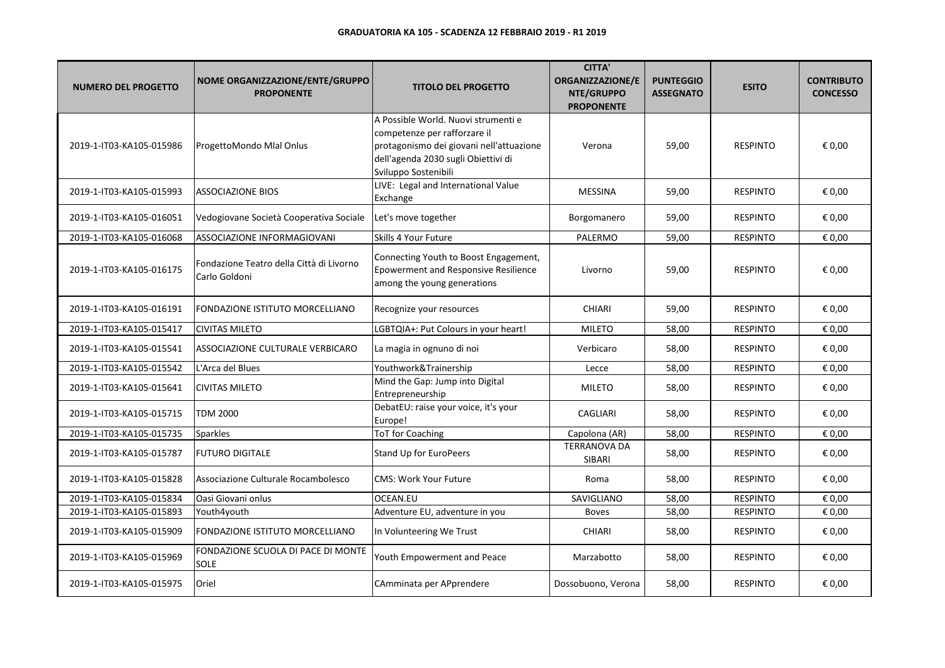| <b>NUMERO DEL PROGETTO</b> | NOME ORGANIZZAZIONE/ENTE/GRUPPO<br><b>PROPONENTE</b>      | <b>TITOLO DEL PROGETTO</b>                                                                                                                                                     | <b>CITTA'</b><br><b>ORGANIZZAZIONE/E</b><br>NTE/GRUPPO<br><b>PROPONENTE</b> | <b>PUNTEGGIO</b><br><b>ASSEGNATO</b> | <b>ESITO</b>    | <b>CONTRIBUTO</b><br><b>CONCESSO</b> |
|----------------------------|-----------------------------------------------------------|--------------------------------------------------------------------------------------------------------------------------------------------------------------------------------|-----------------------------------------------------------------------------|--------------------------------------|-----------------|--------------------------------------|
| 2019-1-IT03-KA105-015986   | ProgettoMondo Mlal Onlus                                  | A Possible World. Nuovi strumenti e<br>competenze per rafforzare il<br>protagonismo dei giovani nell'attuazione<br>dell'agenda 2030 sugli Obiettivi di<br>Sviluppo Sostenibili | Verona                                                                      | 59,00                                | <b>RESPINTO</b> | € 0,00                               |
| 2019-1-IT03-KA105-015993   | <b>ASSOCIAZIONE BIOS</b>                                  | LIVE: Legal and International Value<br>Exchange                                                                                                                                | <b>MESSINA</b>                                                              | 59,00                                | <b>RESPINTO</b> | € 0,00                               |
| 2019-1-IT03-KA105-016051   | Vedogiovane Società Cooperativa Sociale                   | Let's move together                                                                                                                                                            | Borgomanero                                                                 | 59,00                                | <b>RESPINTO</b> | € 0,00                               |
| 2019-1-IT03-KA105-016068   | ASSOCIAZIONE INFORMAGIOVANI                               | Skills 4 Your Future                                                                                                                                                           | PALERMO                                                                     | 59,00                                | <b>RESPINTO</b> | € 0,00                               |
| 2019-1-IT03-KA105-016175   | Fondazione Teatro della Città di Livorno<br>Carlo Goldoni | Connecting Youth to Boost Engagement,<br>Epowerment and Responsive Resilience<br>among the young generations                                                                   | Livorno                                                                     | 59,00                                | <b>RESPINTO</b> | € 0,00                               |
| 2019-1-IT03-KA105-016191   | <b>FONDAZIONE ISTITUTO MORCELLIANO</b>                    | Recognize your resources                                                                                                                                                       | <b>CHIARI</b>                                                               | 59,00                                | <b>RESPINTO</b> | € 0,00                               |
| 2019-1-IT03-KA105-015417   | <b>CIVITAS MILETO</b>                                     | LGBTQIA+: Put Colours in your heart!                                                                                                                                           | <b>MILETO</b>                                                               | 58,00                                | <b>RESPINTO</b> | € 0,00                               |
| 2019-1-IT03-KA105-015541   | ASSOCIAZIONE CULTURALE VERBICARO                          | La magia in ognuno di noi                                                                                                                                                      | Verbicaro                                                                   | 58,00                                | <b>RESPINTO</b> | € 0,00                               |
| 2019-1-IT03-KA105-015542   | L'Arca del Blues                                          | Youthwork&Trainership                                                                                                                                                          | Lecce                                                                       | 58,00                                | <b>RESPINTO</b> | € 0,00                               |
| 2019-1-IT03-KA105-015641   | <b>CIVITAS MILETO</b>                                     | Mind the Gap: Jump into Digital<br>Entrepreneurship                                                                                                                            | <b>MILETO</b>                                                               | 58,00                                | <b>RESPINTO</b> | € 0,00                               |
| 2019-1-IT03-KA105-015715   | <b>TDM 2000</b>                                           | DebatEU: raise your voice, it's your<br>Europe!                                                                                                                                | <b>CAGLIARI</b>                                                             | 58,00                                | <b>RESPINTO</b> | € 0,00                               |
| 2019-1-IT03-KA105-015735   | <b>Sparkles</b>                                           | ToT for Coaching                                                                                                                                                               | Capolona (AR)                                                               | 58,00                                | <b>RESPINTO</b> | € 0,00                               |
| 2019-1-IT03-KA105-015787   | <b>FUTURO DIGITALE</b>                                    | Stand Up for EuroPeers                                                                                                                                                         | <b>TERRANOVA DA</b><br>SIBARI                                               | 58,00                                | <b>RESPINTO</b> | € 0,00                               |
| 2019-1-IT03-KA105-015828   | Associazione Culturale Rocambolesco                       | <b>CMS: Work Your Future</b>                                                                                                                                                   | Roma                                                                        | 58,00                                | <b>RESPINTO</b> | € 0,00                               |
| 2019-1-IT03-KA105-015834   | Oasi Giovani onlus                                        | <b>OCEAN.EU</b>                                                                                                                                                                | SAVIGLIANO                                                                  | 58,00                                | <b>RESPINTO</b> | € 0,00                               |
| 2019-1-IT03-KA105-015893   | Youth4youth                                               | Adventure EU, adventure in you                                                                                                                                                 | <b>Boves</b>                                                                | 58,00                                | <b>RESPINTO</b> | € 0,00                               |
| 2019-1-IT03-KA105-015909   | FONDAZIONE ISTITUTO MORCELLIANO                           | In Volunteering We Trust                                                                                                                                                       | <b>CHIARI</b>                                                               | 58,00                                | <b>RESPINTO</b> | € 0,00                               |
| 2019-1-IT03-KA105-015969   | FONDAZIONE SCUOLA DI PACE DI MONTE<br><b>SOLE</b>         | Youth Empowerment and Peace                                                                                                                                                    | Marzabotto                                                                  | 58,00                                | <b>RESPINTO</b> | € 0,00                               |
| 2019-1-IT03-KA105-015975   | Oriel                                                     | CAmminata per APprendere                                                                                                                                                       | Dossobuono, Verona                                                          | 58,00                                | <b>RESPINTO</b> | € 0,00                               |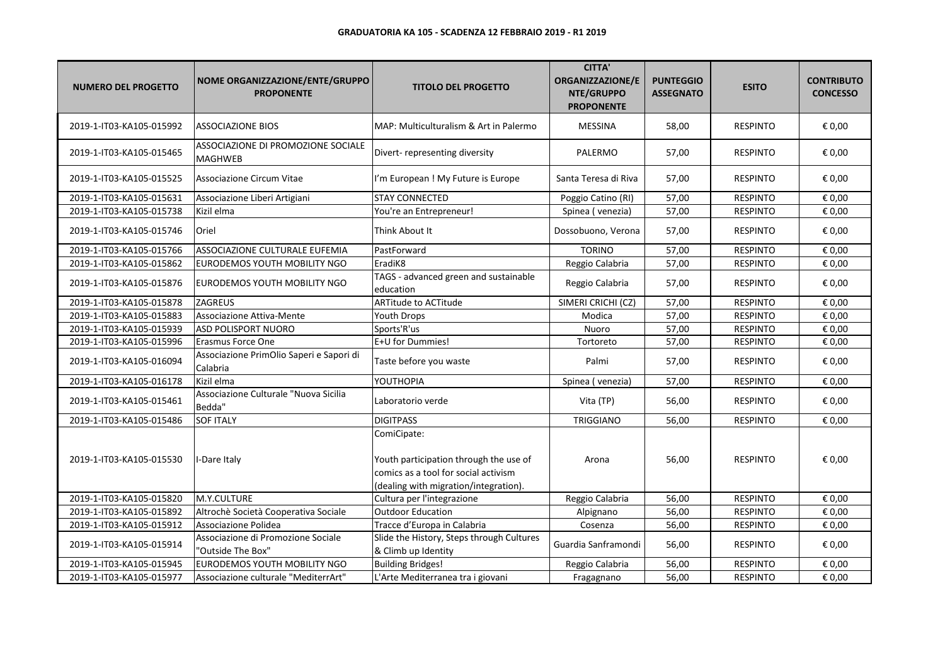| <b>NUMERO DEL PROGETTO</b> | NOME ORGANIZZAZIONE/ENTE/GRUPPO<br><b>PROPONENTE</b>    | <b>TITOLO DEL PROGETTO</b>                                                                                                             | <b>CITTA'</b><br><b>ORGANIZZAZIONE/E</b><br>NTE/GRUPPO<br><b>PROPONENTE</b> | <b>PUNTEGGIO</b><br><b>ASSEGNATO</b> | <b>ESITO</b>    | <b>CONTRIBUTO</b><br><b>CONCESSO</b> |
|----------------------------|---------------------------------------------------------|----------------------------------------------------------------------------------------------------------------------------------------|-----------------------------------------------------------------------------|--------------------------------------|-----------------|--------------------------------------|
| 2019-1-IT03-KA105-015992   | <b>ASSOCIAZIONE BIOS</b>                                | IMAP: Multiculturalism & Art in Palermo                                                                                                | <b>MESSINA</b>                                                              | 58,00                                | <b>RESPINTO</b> | € 0,00                               |
| 2019-1-IT03-KA105-015465   | ASSOCIAZIONE DI PROMOZIONE SOCIALE<br>MAGHWEB           | Divert- representing diversity                                                                                                         | PALERMO                                                                     | 57,00                                | <b>RESPINTO</b> | € 0,00                               |
| 2019-1-IT03-KA105-015525   | <b>Associazione Circum Vitae</b>                        | I'm European ! My Future is Europe                                                                                                     | Santa Teresa di Riva                                                        | 57,00                                | <b>RESPINTO</b> | € 0,00                               |
| 2019-1-IT03-KA105-015631   | Associazione Liberi Artigiani                           | <b>STAY CONNECTED</b>                                                                                                                  | Poggio Catino (RI)                                                          | 57,00                                | <b>RESPINTO</b> | € 0,00                               |
| 2019-1-IT03-KA105-015738   | Kizil elma                                              | You're an Entrepreneur!                                                                                                                | Spinea (venezia)                                                            | 57,00                                | <b>RESPINTO</b> | € 0,00                               |
| 2019-1-IT03-KA105-015746   | Oriel                                                   | Think About It                                                                                                                         | Dossobuono, Verona                                                          | 57,00                                | <b>RESPINTO</b> | € 0,00                               |
| 2019-1-IT03-KA105-015766   | ASSOCIAZIONE CULTURALE EUFEMIA                          | PastForward                                                                                                                            | <b>TORINO</b>                                                               | 57,00                                | <b>RESPINTO</b> | € 0,00                               |
| 2019-1-IT03-KA105-015862   | EURODEMOS YOUTH MOBILITY NGO                            | EradiK8                                                                                                                                | Reggio Calabria                                                             | 57,00                                | <b>RESPINTO</b> | € 0,00                               |
| 2019-1-IT03-KA105-015876   | EURODEMOS YOUTH MOBILITY NGO                            | TAGS - advanced green and sustainable<br>education                                                                                     | Reggio Calabria                                                             | 57,00                                | <b>RESPINTO</b> | € 0,00                               |
| 2019-1-IT03-KA105-015878   | <b>ZAGREUS</b>                                          | <b>ARTitude to ACTitude</b>                                                                                                            | SIMERI CRICHI (CZ)                                                          | 57,00                                | <b>RESPINTO</b> | € 0,00                               |
| 2019-1-IT03-KA105-015883   | Associazione Attiva-Mente                               | Youth Drops                                                                                                                            | Modica                                                                      | 57,00                                | <b>RESPINTO</b> | € 0,00                               |
| 2019-1-IT03-KA105-015939   | ASD POLISPORT NUORO                                     | Sports'R'us                                                                                                                            | Nuoro                                                                       | 57,00                                | <b>RESPINTO</b> | € 0,00                               |
| 2019-1-IT03-KA105-015996   | <b>Erasmus Force One</b>                                | E+U for Dummies!                                                                                                                       | Tortoreto                                                                   | 57,00                                | <b>RESPINTO</b> | € 0,00                               |
| 2019-1-IT03-KA105-016094   | Associazione PrimOlio Saperi e Sapori di<br>Calabria    | Taste before you waste                                                                                                                 | Palmi                                                                       | 57,00                                | <b>RESPINTO</b> | € 0,00                               |
| 2019-1-IT03-KA105-016178   | Kizil elma                                              | YOUTHOPIA                                                                                                                              | Spinea (venezia)                                                            | 57,00                                | <b>RESPINTO</b> | € 0,00                               |
| 2019-1-IT03-KA105-015461   | Associazione Culturale "Nuova Sicilia<br>Bedda"         | Laboratorio verde                                                                                                                      | Vita (TP)                                                                   | 56,00                                | <b>RESPINTO</b> | € 0,00                               |
| 2019-1-IT03-KA105-015486   | <b>SOF ITALY</b>                                        | <b>DIGITPASS</b>                                                                                                                       | TRIGGIANO                                                                   | 56,00                                | <b>RESPINTO</b> | € 0,00                               |
| 2019-1-IT03-KA105-015530   | -Dare Italy                                             | ComiCipate:<br>Youth participation through the use of<br>comics as a tool for social activism<br>(dealing with migration/integration). | Arona                                                                       | 56,00                                | <b>RESPINTO</b> | € 0,00                               |
| 2019-1-IT03-KA105-015820   | M.Y.CULTURE                                             | Cultura per l'integrazione                                                                                                             | Reggio Calabria                                                             | 56,00                                | <b>RESPINTO</b> | € 0,00                               |
| 2019-1-IT03-KA105-015892   | Altrochè Società Cooperativa Sociale                    | <b>Outdoor Education</b>                                                                                                               | Alpignano                                                                   | 56,00                                | <b>RESPINTO</b> | € 0,00                               |
| 2019-1-IT03-KA105-015912   | Associazione Polidea                                    | Tracce d'Europa in Calabria                                                                                                            | Cosenza                                                                     | 56,00                                | <b>RESPINTO</b> | € 0,00                               |
| 2019-1-IT03-KA105-015914   | Associazione di Promozione Sociale<br>"Outside The Box" | Slide the History, Steps through Cultures<br>& Climb up Identity                                                                       | Guardia Sanframondi                                                         | 56,00                                | <b>RESPINTO</b> | € 0,00                               |
| 2019-1-IT03-KA105-015945   | EURODEMOS YOUTH MOBILITY NGO                            | <b>Building Bridges!</b>                                                                                                               | Reggio Calabria                                                             | 56,00                                | <b>RESPINTO</b> | € 0,00                               |
| 2019-1-IT03-KA105-015977   | Associazione culturale "MediterrArt"                    | L'Arte Mediterranea tra i giovani                                                                                                      | Fragagnano                                                                  | 56,00                                | <b>RESPINTO</b> | € 0,00                               |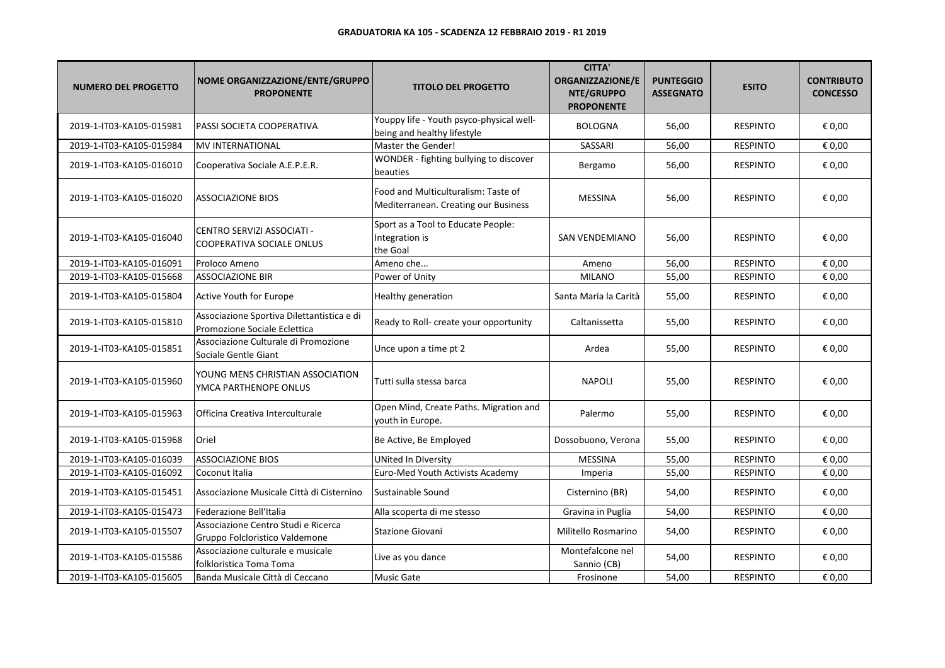| <b>NUMERO DEL PROGETTO</b> | NOME ORGANIZZAZIONE/ENTE/GRUPPO<br><b>PROPONENTE</b>                       | <b>TITOLO DEL PROGETTO</b>                                                  | <b>CITTA'</b><br>ORGANIZZAZIONE/E<br>NTE/GRUPPO<br><b>PROPONENTE</b> | <b>PUNTEGGIO</b><br><b>ASSEGNATO</b> | <b>ESITO</b>    | <b>CONTRIBUTO</b><br><b>CONCESSO</b> |
|----------------------------|----------------------------------------------------------------------------|-----------------------------------------------------------------------------|----------------------------------------------------------------------|--------------------------------------|-----------------|--------------------------------------|
| 2019-1-IT03-KA105-015981   | PASSI SOCIETA COOPERATIVA                                                  | Youppy life - Youth psyco-physical well-<br>being and healthy lifestyle     | <b>BOLOGNA</b>                                                       | 56,00                                | <b>RESPINTO</b> | € 0,00                               |
| 2019-1-IT03-KA105-015984   | <b>MV INTERNATIONAL</b>                                                    | Master the Gender!                                                          | SASSARI                                                              | 56,00                                | <b>RESPINTO</b> | € 0,00                               |
| 2019-1-IT03-KA105-016010   | Cooperativa Sociale A.E.P.E.R.                                             | WONDER - fighting bullying to discover<br>beauties                          | Bergamo                                                              | 56,00                                | <b>RESPINTO</b> | € 0,00                               |
| 2019-1-IT03-KA105-016020   | <b>ASSOCIAZIONE BIOS</b>                                                   | Food and Multiculturalism: Taste of<br>Mediterranean. Creating our Business | <b>MESSINA</b>                                                       | 56,00                                | <b>RESPINTO</b> | € 0,00                               |
| 2019-1-IT03-KA105-016040   | CENTRO SERVIZI ASSOCIATI -<br>COOPERATIVA SOCIALE ONLUS                    | Sport as a Tool to Educate People:<br>Integration is<br>the Goal            | SAN VENDEMIANO                                                       | 56,00                                | <b>RESPINTO</b> | € 0,00                               |
| 2019-1-IT03-KA105-016091   | Proloco Ameno                                                              | Ameno che                                                                   | Ameno                                                                | 56,00                                | <b>RESPINTO</b> | € 0,00                               |
| 2019-1-IT03-KA105-015668   | <b>ASSOCIAZIONE BIR</b>                                                    | Power of Unity                                                              | <b>MILANO</b>                                                        | 55,00                                | <b>RESPINTO</b> | € 0,00                               |
| 2019-1-IT03-KA105-015804   | Active Youth for Europe                                                    | Healthy generation                                                          | Santa Maria la Carità                                                | 55,00                                | <b>RESPINTO</b> | € 0,00                               |
| 2019-1-IT03-KA105-015810   | Associazione Sportiva Dilettantistica e di<br>Promozione Sociale Eclettica | Ready to Roll- create your opportunity                                      | Caltanissetta                                                        | 55,00                                | <b>RESPINTO</b> | € 0,00                               |
| 2019-1-IT03-KA105-015851   | Associazione Culturale di Promozione<br>Sociale Gentle Giant               | Unce upon a time pt 2                                                       | Ardea                                                                | 55,00                                | <b>RESPINTO</b> | € 0,00                               |
| 2019-1-IT03-KA105-015960   | YOUNG MENS CHRISTIAN ASSOCIATION<br>YMCA PARTHENOPE ONLUS                  | Tutti sulla stessa barca                                                    | NAPOLI                                                               | 55,00                                | <b>RESPINTO</b> | € 0,00                               |
| 2019-1-IT03-KA105-015963   | Officina Creativa Interculturale                                           | Open Mind, Create Paths. Migration and<br>youth in Europe.                  | Palermo                                                              | 55,00                                | <b>RESPINTO</b> | € 0,00                               |
| 2019-1-IT03-KA105-015968   | Oriel                                                                      | Be Active, Be Employed                                                      | Dossobuono, Verona                                                   | 55,00                                | <b>RESPINTO</b> | € 0,00                               |
| 2019-1-IT03-KA105-016039   | <b>ASSOCIAZIONE BIOS</b>                                                   | <b>UNited In Diversity</b>                                                  | <b>MESSINA</b>                                                       | 55,00                                | <b>RESPINTO</b> | € 0,00                               |
| 2019-1-IT03-KA105-016092   | Coconut Italia                                                             | Euro-Med Youth Activists Academy                                            | Imperia                                                              | 55,00                                | <b>RESPINTO</b> | € 0,00                               |
| 2019-1-IT03-KA105-015451   | Associazione Musicale Città di Cisternino                                  | Sustainable Sound                                                           | Cisternino (BR)                                                      | 54,00                                | <b>RESPINTO</b> | € 0,00                               |
| 2019-1-IT03-KA105-015473   | Federazione Bell'Italia                                                    | Alla scoperta di me stesso                                                  | Gravina in Puglia                                                    | 54,00                                | <b>RESPINTO</b> | € 0,00                               |
| 2019-1-IT03-KA105-015507   | Associazione Centro Studi e Ricerca<br>Gruppo Folcloristico Valdemone      | <b>Stazione Giovani</b>                                                     | Militello Rosmarino                                                  | 54,00                                | <b>RESPINTO</b> | € 0,00                               |
| 2019-1-IT03-KA105-015586   | Associazione culturale e musicale<br>folkloristica Toma Toma               | Live as you dance                                                           | Montefalcone nel<br>Sannio (CB)                                      | 54,00                                | <b>RESPINTO</b> | € 0,00                               |
| 2019-1-IT03-KA105-015605   | Banda Musicale Città di Ceccano                                            | Music Gate                                                                  | Frosinone                                                            | 54,00                                | <b>RESPINTO</b> | € 0,00                               |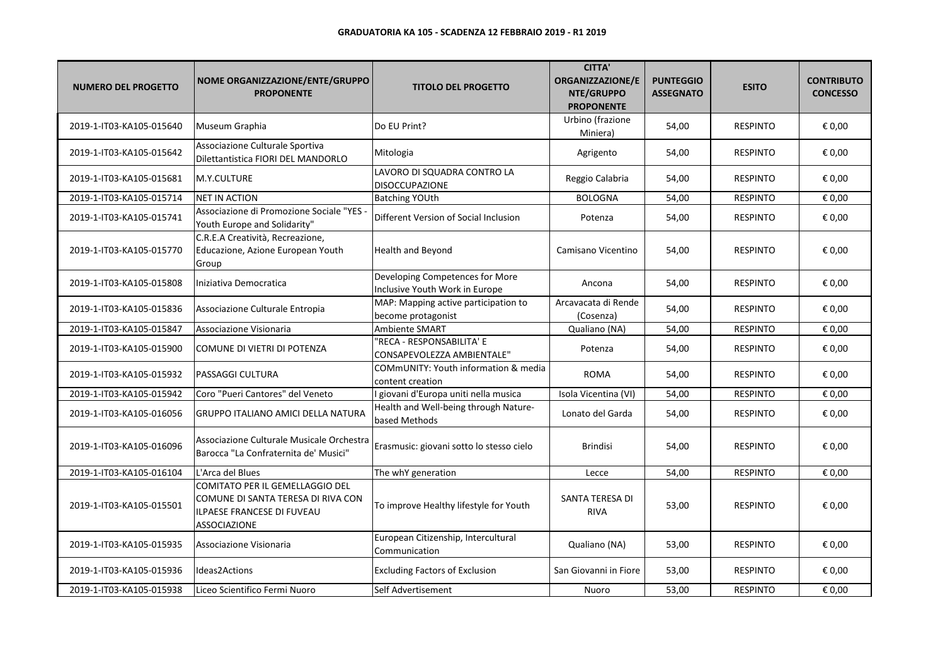| <b>NUMERO DEL PROGETTO</b> | NOME ORGANIZZAZIONE/ENTE/GRUPPO<br><b>PROPONENTE</b>                                                                       | <b>TITOLO DEL PROGETTO</b>                                        | <b>CITTA'</b><br><b>ORGANIZZAZIONE/E</b><br>NTE/GRUPPO<br><b>PROPONENTE</b> | <b>PUNTEGGIO</b><br><b>ASSEGNATO</b> | <b>ESITO</b>    | <b>CONTRIBUTO</b><br><b>CONCESSO</b> |
|----------------------------|----------------------------------------------------------------------------------------------------------------------------|-------------------------------------------------------------------|-----------------------------------------------------------------------------|--------------------------------------|-----------------|--------------------------------------|
| 2019-1-IT03-KA105-015640   | Museum Graphia                                                                                                             | Do EU Print?                                                      | Urbino (frazione<br>Miniera)                                                | 54,00                                | <b>RESPINTO</b> | € 0,00                               |
| 2019-1-IT03-KA105-015642   | Associazione Culturale Sportiva<br>Dilettantistica FIORI DEL MANDORLO                                                      | Mitologia                                                         | Agrigento                                                                   | 54,00                                | <b>RESPINTO</b> | € 0,00                               |
| 2019-1-IT03-KA105-015681   | M.Y.CULTURE                                                                                                                | LAVORO DI SQUADRA CONTRO LA<br><b>DISOCCUPAZIONE</b>              | Reggio Calabria                                                             | 54,00                                | <b>RESPINTO</b> | € 0,00                               |
| 2019-1-IT03-KA105-015714   | <b>NET IN ACTION</b>                                                                                                       | <b>Batching YOUth</b>                                             | <b>BOLOGNA</b>                                                              | 54,00                                | <b>RESPINTO</b> | € 0,00                               |
| 2019-1-IT03-KA105-015741   | Associazione di Promozione Sociale "YES<br>Youth Europe and Solidarity"                                                    | Different Version of Social Inclusion                             | Potenza                                                                     | 54,00                                | <b>RESPINTO</b> | € 0,00                               |
| 2019-1-IT03-KA105-015770   | C.R.E.A Creatività, Recreazione,<br>Educazione, Azione European Youth<br>Group                                             | <b>Health and Beyond</b>                                          | Camisano Vicentino                                                          | 54,00                                | <b>RESPINTO</b> | € 0,00                               |
| 2019-1-IT03-KA105-015808   | Iniziativa Democratica                                                                                                     | Developing Competences for More<br>Inclusive Youth Work in Europe | Ancona                                                                      | 54,00                                | <b>RESPINTO</b> | € 0,00                               |
| 2019-1-IT03-KA105-015836   | Associazione Culturale Entropia                                                                                            | MAP: Mapping active participation to<br>become protagonist        | Arcavacata di Rende<br>(Cosenza)                                            | 54,00                                | <b>RESPINTO</b> | € 0,00                               |
| 2019-1-IT03-KA105-015847   | Associazione Visionaria                                                                                                    | Ambiente SMART                                                    | Qualiano (NA)                                                               | 54,00                                | <b>RESPINTO</b> | € 0,00                               |
| 2019-1-IT03-KA105-015900   | COMUNE DI VIETRI DI POTENZA                                                                                                | 'RECA - RESPONSABILITA' E<br>CONSAPEVOLEZZA AMBIENTALE"           | Potenza                                                                     | 54,00                                | <b>RESPINTO</b> | € 0,00                               |
| 2019-1-IT03-KA105-015932   | <b>PASSAGGI CULTURA</b>                                                                                                    | COMmUNITY: Youth information & media<br>content creation          | ROMA                                                                        | 54,00                                | <b>RESPINTO</b> | € 0,00                               |
| 2019-1-IT03-KA105-015942   | Coro "Pueri Cantores" del Veneto                                                                                           | I giovani d'Europa uniti nella musica                             | Isola Vicentina (VI)                                                        | 54,00                                | <b>RESPINTO</b> | € 0,00                               |
| 2019-1-IT03-KA105-016056   | <b>GRUPPO ITALIANO AMICI DELLA NATURA</b>                                                                                  | Health and Well-being through Nature-<br>based Methods            | Lonato del Garda                                                            | 54,00                                | <b>RESPINTO</b> | € 0,00                               |
| 2019-1-IT03-KA105-016096   | Associazione Culturale Musicale Orchestra<br>Barocca "La Confraternita de' Musici"                                         | Erasmusic: giovani sotto lo stesso cielo                          | <b>Brindisi</b>                                                             | 54,00                                | <b>RESPINTO</b> | € 0,00                               |
| 2019-1-IT03-KA105-016104   | L'Arca del Blues                                                                                                           | The whY generation                                                | Lecce                                                                       | 54,00                                | <b>RESPINTO</b> | € 0,00                               |
| 2019-1-IT03-KA105-015501   | COMITATO PER IL GEMELLAGGIO DEL<br>COMUNE DI SANTA TERESA DI RIVA CON<br>ILPAESE FRANCESE DI FUVEAU<br><b>ASSOCIAZIONE</b> | To improve Healthy lifestyle for Youth                            | SANTA TERESA DI<br><b>RIVA</b>                                              | 53,00                                | <b>RESPINTO</b> | € 0,00                               |
| 2019-1-IT03-KA105-015935   | Associazione Visionaria                                                                                                    | European Citizenship, Intercultural<br>Communication              | Qualiano (NA)                                                               | 53,00                                | <b>RESPINTO</b> | € 0,00                               |
| 2019-1-IT03-KA105-015936   | Ideas2Actions                                                                                                              | <b>Excluding Factors of Exclusion</b>                             | San Giovanni in Fiore                                                       | 53,00                                | <b>RESPINTO</b> | € 0,00                               |
| 2019-1-IT03-KA105-015938   | Liceo Scientifico Fermi Nuoro                                                                                              | Self Advertisement                                                | Nuoro                                                                       | 53,00                                | <b>RESPINTO</b> | € 0,00                               |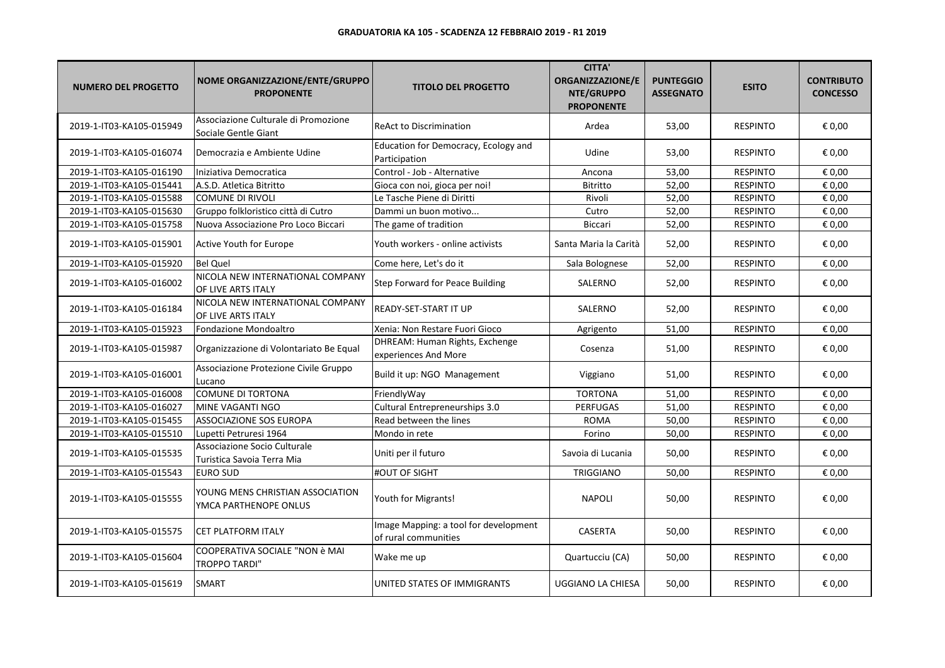| <b>NUMERO DEL PROGETTO</b> | NOME ORGANIZZAZIONE/ENTE/GRUPPO<br><b>PROPONENTE</b>         | <b>TITOLO DEL PROGETTO</b>                                    | <b>CITTA'</b><br><b>ORGANIZZAZIONE/E</b><br>NTE/GRUPPO<br><b>PROPONENTE</b> | <b>PUNTEGGIO</b><br><b>ASSEGNATO</b> | <b>ESITO</b>    | <b>CONTRIBUTO</b><br><b>CONCESSO</b> |
|----------------------------|--------------------------------------------------------------|---------------------------------------------------------------|-----------------------------------------------------------------------------|--------------------------------------|-----------------|--------------------------------------|
| 2019-1-IT03-KA105-015949   | Associazione Culturale di Promozione<br>Sociale Gentle Giant | <b>ReAct to Discrimination</b>                                | Ardea                                                                       | 53,00                                | <b>RESPINTO</b> | € 0,00                               |
| 2019-1-IT03-KA105-016074   | Democrazia e Ambiente Udine                                  | Education for Democracy, Ecology and<br>Participation         | Udine                                                                       | 53,00                                | <b>RESPINTO</b> | € 0,00                               |
| 2019-1-IT03-KA105-016190   | Iniziativa Democratica                                       | Control - Job - Alternative                                   | Ancona                                                                      | 53,00                                | <b>RESPINTO</b> | € 0,00                               |
| 2019-1-IT03-KA105-015441   | A.S.D. Atletica Bitritto                                     | Gioca con noi, gioca per noi!                                 | <b>Bitritto</b>                                                             | 52,00                                | <b>RESPINTO</b> | € 0,00                               |
| 2019-1-IT03-KA105-015588   | COMUNE DI RIVOLI                                             | Le Tasche Piene di Diritti                                    | Rivoli                                                                      | 52,00                                | <b>RESPINTO</b> | € 0,00                               |
| 2019-1-IT03-KA105-015630   | Gruppo folkloristico città di Cutro                          | Dammi un buon motivo                                          | Cutro                                                                       | 52,00                                | <b>RESPINTO</b> | € 0,00                               |
| 2019-1-IT03-KA105-015758   | Nuova Associazione Pro Loco Biccari                          | The game of tradition                                         | <b>Biccari</b>                                                              | 52,00                                | <b>RESPINTO</b> | € 0,00                               |
| 2019-1-IT03-KA105-015901   | Active Youth for Europe                                      | Youth workers - online activists                              | Santa Maria la Carità                                                       | 52,00                                | <b>RESPINTO</b> | € 0,00                               |
| 2019-1-IT03-KA105-015920   | <b>Bel Quel</b>                                              | Come here, Let's do it                                        | Sala Bolognese                                                              | 52,00                                | <b>RESPINTO</b> | € 0,00                               |
| 2019-1-IT03-KA105-016002   | NICOLA NEW INTERNATIONAL COMPANY<br>OF LIVE ARTS ITALY       | Step Forward for Peace Building                               | SALERNO                                                                     | 52,00                                | <b>RESPINTO</b> | € 0,00                               |
| 2019-1-IT03-KA105-016184   | NICOLA NEW INTERNATIONAL COMPANY<br>OF LIVE ARTS ITALY       | <b>READY-SET-START IT UP</b>                                  | SALERNO                                                                     | 52,00                                | <b>RESPINTO</b> | € 0,00                               |
| 2019-1-IT03-KA105-015923   | Fondazione Mondoaltro                                        | Xenia: Non Restare Fuori Gioco                                | Agrigento                                                                   | 51,00                                | <b>RESPINTO</b> | € 0,00                               |
| 2019-1-IT03-KA105-015987   | Organizzazione di Volontariato Be Equal                      | DHREAM: Human Rights, Exchenge<br>experiences And More        | Cosenza                                                                     | 51,00                                | <b>RESPINTO</b> | € 0,00                               |
| 2019-1-IT03-KA105-016001   | Associazione Protezione Civile Gruppo<br>Lucano              | Build it up: NGO Management                                   | Viggiano                                                                    | 51,00                                | <b>RESPINTO</b> | € 0,00                               |
| 2019-1-IT03-KA105-016008   | <b>COMUNE DI TORTONA</b>                                     | FriendlyWay                                                   | <b>TORTONA</b>                                                              | 51,00                                | <b>RESPINTO</b> | € 0,00                               |
| 2019-1-IT03-KA105-016027   | MINE VAGANTI NGO                                             | Cultural Entrepreneurships 3.0                                | <b>PERFUGAS</b>                                                             | 51,00                                | <b>RESPINTO</b> | € 0,00                               |
| 2019-1-IT03-KA105-015455   | ASSOCIAZIONE SOS EUROPA                                      | Read between the lines                                        | <b>ROMA</b>                                                                 | 50,00                                | <b>RESPINTO</b> | € 0,00                               |
| 2019-1-IT03-KA105-015510   | Lupetti Petruresi 1964                                       | Mondo in rete                                                 | Forino                                                                      | 50,00                                | <b>RESPINTO</b> | € 0,00                               |
| 2019-1-IT03-KA105-015535   | Associazione Socio Culturale<br>Turistica Savoia Terra Mia   | Uniti per il futuro                                           | Savoia di Lucania                                                           | 50,00                                | <b>RESPINTO</b> | € 0,00                               |
| 2019-1-IT03-KA105-015543   | <b>EURO SUD</b>                                              | #OUT OF SIGHT                                                 | <b>TRIGGIANO</b>                                                            | 50,00                                | <b>RESPINTO</b> | € 0,00                               |
| 2019-1-IT03-KA105-015555   | YOUNG MENS CHRISTIAN ASSOCIATION<br>YMCA PARTHENOPE ONLUS    | Youth for Migrants!                                           | <b>NAPOLI</b>                                                               | 50,00                                | <b>RESPINTO</b> | € 0,00                               |
| 2019-1-IT03-KA105-015575   | <b>CET PLATFORM ITALY</b>                                    | Image Mapping: a tool for development<br>of rural communities | CASERTA                                                                     | 50,00                                | <b>RESPINTO</b> | € 0,00                               |
| 2019-1-IT03-KA105-015604   | COOPERATIVA SOCIALE "NON è MAI<br>TROPPO TARDI"              | Wake me up                                                    | Quartucciu (CA)                                                             | 50,00                                | <b>RESPINTO</b> | € 0,00                               |
| 2019-1-IT03-KA105-015619   | SMART                                                        | UNITED STATES OF IMMIGRANTS                                   | UGGIANO LA CHIESA                                                           | 50,00                                | <b>RESPINTO</b> | € 0,00                               |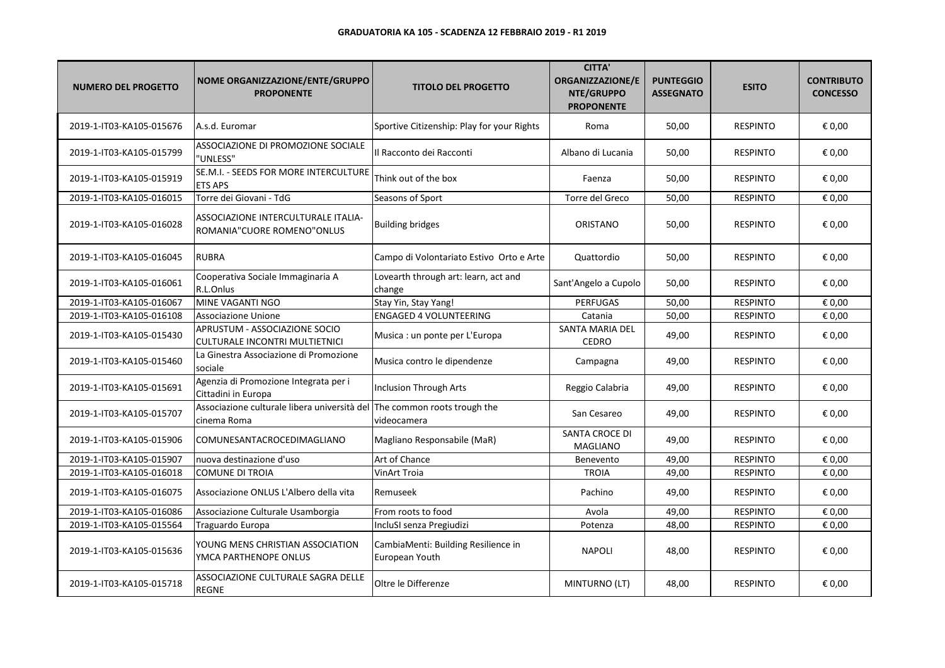| <b>NUMERO DEL PROGETTO</b> | NOME ORGANIZZAZIONE/ENTE/GRUPPO<br><b>PROPONENTE</b>              | <b>TITOLO DEL PROGETTO</b>                            | <b>CITTA'</b><br><b>ORGANIZZAZIONE/E</b><br>NTE/GRUPPO<br><b>PROPONENTE</b> | <b>PUNTEGGIO</b><br><b>ASSEGNATO</b> | <b>ESITO</b>    | <b>CONTRIBUTO</b><br><b>CONCESSO</b> |
|----------------------------|-------------------------------------------------------------------|-------------------------------------------------------|-----------------------------------------------------------------------------|--------------------------------------|-----------------|--------------------------------------|
| 2019-1-IT03-KA105-015676   | A.s.d. Euromar                                                    | Sportive Citizenship: Play for your Rights            | Roma                                                                        | 50,00                                | <b>RESPINTO</b> | € 0,00                               |
| 2019-1-IT03-KA105-015799   | ASSOCIAZIONE DI PROMOZIONE SOCIALE<br>'UNLESS"                    | Il Racconto dei Racconti                              | Albano di Lucania                                                           | 50,00                                | <b>RESPINTO</b> | € 0,00                               |
| 2019-1-IT03-KA105-015919   | SE.M.I. - SEEDS FOR MORE INTERCULTURE<br><b>ETS APS</b>           | Think out of the box                                  | Faenza                                                                      | 50,00                                | <b>RESPINTO</b> | € 0,00                               |
| 2019-1-IT03-KA105-016015   | Torre dei Giovani - TdG                                           | Seasons of Sport                                      | Torre del Greco                                                             | 50,00                                | <b>RESPINTO</b> | € 0,00                               |
| 2019-1-IT03-KA105-016028   | ASSOCIAZIONE INTERCULTURALE ITALIA-<br>ROMANIA"CUORE ROMENO"ONLUS | <b>Building bridges</b>                               | ORISTANO                                                                    | 50,00                                | <b>RESPINTO</b> | € 0,00                               |
| 2019-1-IT03-KA105-016045   | <b>RUBRA</b>                                                      | Campo di Volontariato Estivo Orto e Arte              | Quattordio                                                                  | 50,00                                | <b>RESPINTO</b> | € 0,00                               |
| 2019-1-IT03-KA105-016061   | Cooperativa Sociale Immaginaria A<br>R.L.Onlus                    | Lovearth through art: learn, act and<br>change        | Sant'Angelo a Cupolo                                                        | 50,00                                | <b>RESPINTO</b> | € 0,00                               |
| 2019-1-IT03-KA105-016067   | MINE VAGANTI NGO                                                  | Stay Yin, Stay Yang!                                  | <b>PERFUGAS</b>                                                             | 50,00                                | <b>RESPINTO</b> | € 0,00                               |
| 2019-1-IT03-KA105-016108   | Associazione Unione                                               | <b>ENGAGED 4 VOLUNTEERING</b>                         | Catania                                                                     | 50,00                                | <b>RESPINTO</b> | € 0,00                               |
| 2019-1-IT03-KA105-015430   | APRUSTUM - ASSOCIAZIONE SOCIO<br>CULTURALE INCONTRI MULTIETNICI   | Musica : un ponte per L'Europa                        | SANTA MARIA DEL<br><b>CEDRO</b>                                             | 49,00                                | <b>RESPINTO</b> | € 0,00                               |
| 2019-1-IT03-KA105-015460   | La Ginestra Associazione di Promozione<br>sociale                 | Musica contro le dipendenze                           | Campagna                                                                    | 49,00                                | <b>RESPINTO</b> | € 0,00                               |
| 2019-1-IT03-KA105-015691   | Agenzia di Promozione Integrata per i<br>Cittadini in Europa      | Inclusion Through Arts                                | Reggio Calabria                                                             | 49,00                                | <b>RESPINTO</b> | € 0,00                               |
| 2019-1-IT03-KA105-015707   | Associazione culturale libera università del<br>cinema Roma       | The common roots trough the<br>videocamera            | San Cesareo                                                                 | 49,00                                | <b>RESPINTO</b> | € 0,00                               |
| 2019-1-IT03-KA105-015906   | COMUNESANTACROCEDIMAGLIANO                                        | Magliano Responsabile (MaR)                           | SANTA CROCE DI<br><b>MAGLIANO</b>                                           | 49,00                                | <b>RESPINTO</b> | € 0,00                               |
| 2019-1-IT03-KA105-015907   | nuova destinazione d'uso                                          | Art of Chance                                         | Benevento                                                                   | 49,00                                | <b>RESPINTO</b> | € 0,00                               |
| 2019-1-IT03-KA105-016018   | COMUNE DI TROIA                                                   | <b>VinArt Troia</b>                                   | <b>TROIA</b>                                                                | 49,00                                | <b>RESPINTO</b> | € 0,00                               |
| 2019-1-IT03-KA105-016075   | Associazione ONLUS L'Albero della vita                            | Remuseek                                              | Pachino                                                                     | 49,00                                | <b>RESPINTO</b> | € 0,00                               |
| 2019-1-IT03-KA105-016086   | Associazione Culturale Usamborgia                                 | From roots to food                                    | Avola                                                                       | 49,00                                | <b>RESPINTO</b> | € 0,00                               |
| 2019-1-IT03-KA105-015564   | Traguardo Europa                                                  | IncluSI senza Pregiudizi                              | Potenza                                                                     | 48,00                                | <b>RESPINTO</b> | € 0,00                               |
| 2019-1-IT03-KA105-015636   | YOUNG MENS CHRISTIAN ASSOCIATION<br>YMCA PARTHENOPE ONLUS         | CambiaMenti: Building Resilience in<br>European Youth | <b>NAPOLI</b>                                                               | 48,00                                | <b>RESPINTO</b> | € 0,00                               |
| 2019-1-IT03-KA105-015718   | ASSOCIAZIONE CULTURALE SAGRA DELLE<br><b>REGNE</b>                | Oltre le Differenze                                   | MINTURNO (LT)                                                               | 48,00                                | <b>RESPINTO</b> | € 0,00                               |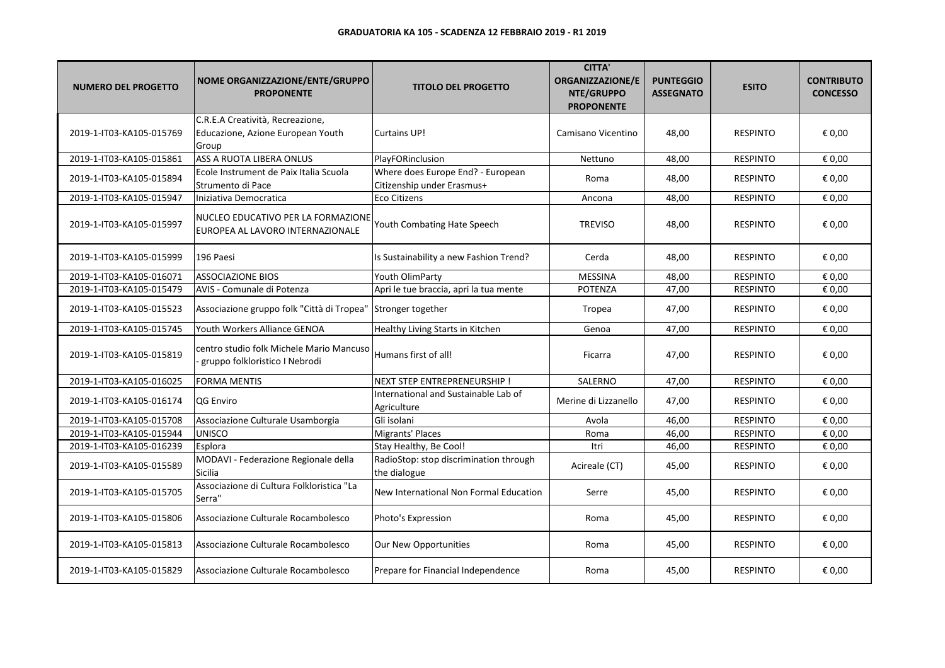| <b>NUMERO DEL PROGETTO</b> | NOME ORGANIZZAZIONE/ENTE/GRUPPO<br><b>PROPONENTE</b>                           | <b>TITOLO DEL PROGETTO</b>                                      | <b>CITTA'</b><br>ORGANIZZAZIONE/E<br>NTE/GRUPPO<br><b>PROPONENTE</b> | <b>PUNTEGGIO</b><br><b>ASSEGNATO</b> | <b>ESITO</b>    | <b>CONTRIBUTO</b><br><b>CONCESSO</b> |
|----------------------------|--------------------------------------------------------------------------------|-----------------------------------------------------------------|----------------------------------------------------------------------|--------------------------------------|-----------------|--------------------------------------|
| 2019-1-IT03-KA105-015769   | C.R.E.A Creatività, Recreazione,<br>Educazione, Azione European Youth<br>Group | <b>Curtains UP!</b>                                             | Camisano Vicentino                                                   | 48,00                                | <b>RESPINTO</b> | € 0,00                               |
| 2019-1-IT03-KA105-015861   | ASS A RUOTA LIBERA ONLUS                                                       | PlayFORinclusion                                                | Nettuno                                                              | 48,00                                | <b>RESPINTO</b> | € 0,00                               |
| 2019-1-IT03-KA105-015894   | Ecole Instrument de Paix Italia Scuola<br>Strumento di Pace                    | Where does Europe End? - European<br>Citizenship under Erasmus+ | Roma                                                                 | 48,00                                | <b>RESPINTO</b> | € 0,00                               |
| 2019-1-IT03-KA105-015947   | Iniziativa Democratica                                                         | <b>Eco Citizens</b>                                             | Ancona                                                               | 48,00                                | <b>RESPINTO</b> | € 0,00                               |
| 2019-1-IT03-KA105-015997   | NUCLEO EDUCATIVO PER LA FORMAZIONE<br>EUROPEA AL LAVORO INTERNAZIONALE         | Youth Combating Hate Speech                                     | <b>TREVISO</b>                                                       | 48,00                                | <b>RESPINTO</b> | € 0,00                               |
| 2019-1-IT03-KA105-015999   | 196 Paesi                                                                      | Is Sustainability a new Fashion Trend?                          | Cerda                                                                | 48,00                                | <b>RESPINTO</b> | € 0,00                               |
| 2019-1-IT03-KA105-016071   | <b>ASSOCIAZIONE BIOS</b>                                                       | Youth OlimParty                                                 | <b>MESSINA</b>                                                       | 48,00                                | <b>RESPINTO</b> | € 0,00                               |
| 2019-1-IT03-KA105-015479   | AVIS - Comunale di Potenza                                                     | Apri le tue braccia, apri la tua mente                          | <b>POTENZA</b>                                                       | 47,00                                | <b>RESPINTO</b> | € 0,00                               |
| 2019-1-IT03-KA105-015523   | Associazione gruppo folk "Città di Tropea"                                     | Stronger together                                               | Tropea                                                               | 47,00                                | <b>RESPINTO</b> | € 0,00                               |
| 2019-1-IT03-KA105-015745   | Youth Workers Alliance GENOA                                                   | Healthy Living Starts in Kitchen                                | Genoa                                                                | 47,00                                | <b>RESPINTO</b> | € 0,00                               |
| 2019-1-IT03-KA105-015819   | centro studio folk Michele Mario Mancuso<br>gruppo folkloristico I Nebrodi     | Humans first of all!                                            | Ficarra                                                              | 47,00                                | <b>RESPINTO</b> | € 0,00                               |
| 2019-1-IT03-KA105-016025   | <b>FORMA MENTIS</b>                                                            | NEXT STEP ENTREPRENEURSHIP !                                    | SALERNO                                                              | 47,00                                | <b>RESPINTO</b> | € 0,00                               |
| 2019-1-IT03-KA105-016174   | QG Enviro                                                                      | International and Sustainable Lab of<br>Agriculture             | Merine di Lizzanello                                                 | 47,00                                | <b>RESPINTO</b> | € 0,00                               |
| 2019-1-IT03-KA105-015708   | Associazione Culturale Usamborgia                                              | Gli isolani                                                     | Avola                                                                | 46,00                                | <b>RESPINTO</b> | € 0,00                               |
| 2019-1-IT03-KA105-015944   | <b>UNISCO</b>                                                                  | Migrants' Places                                                | Roma                                                                 | 46,00                                | <b>RESPINTO</b> | € 0,00                               |
| 2019-1-IT03-KA105-016239   | Esplora                                                                        | Stay Healthy, Be Cool!                                          | Itri                                                                 | 46,00                                | <b>RESPINTO</b> | € 0,00                               |
| 2019-1-IT03-KA105-015589   | MODAVI - Federazione Regionale della<br><b>Sicilia</b>                         | RadioStop: stop discrimination through<br>the dialogue          | Acireale (CT)                                                        | 45,00                                | <b>RESPINTO</b> | € 0,00                               |
| 2019-1-IT03-KA105-015705   | Associazione di Cultura Folkloristica "La<br>Serra"                            | New International Non Formal Education                          | Serre                                                                | 45,00                                | <b>RESPINTO</b> | € 0,00                               |
| 2019-1-IT03-KA105-015806   | Associazione Culturale Rocambolesco                                            | Photo's Expression                                              | Roma                                                                 | 45,00                                | <b>RESPINTO</b> | € 0,00                               |
| 2019-1-IT03-KA105-015813   | Associazione Culturale Rocambolesco                                            | Our New Opportunities                                           | Roma                                                                 | 45,00                                | <b>RESPINTO</b> | € 0,00                               |
| 2019-1-IT03-KA105-015829   | Associazione Culturale Rocambolesco                                            | Prepare for Financial Independence                              | Roma                                                                 | 45,00                                | <b>RESPINTO</b> | € 0,00                               |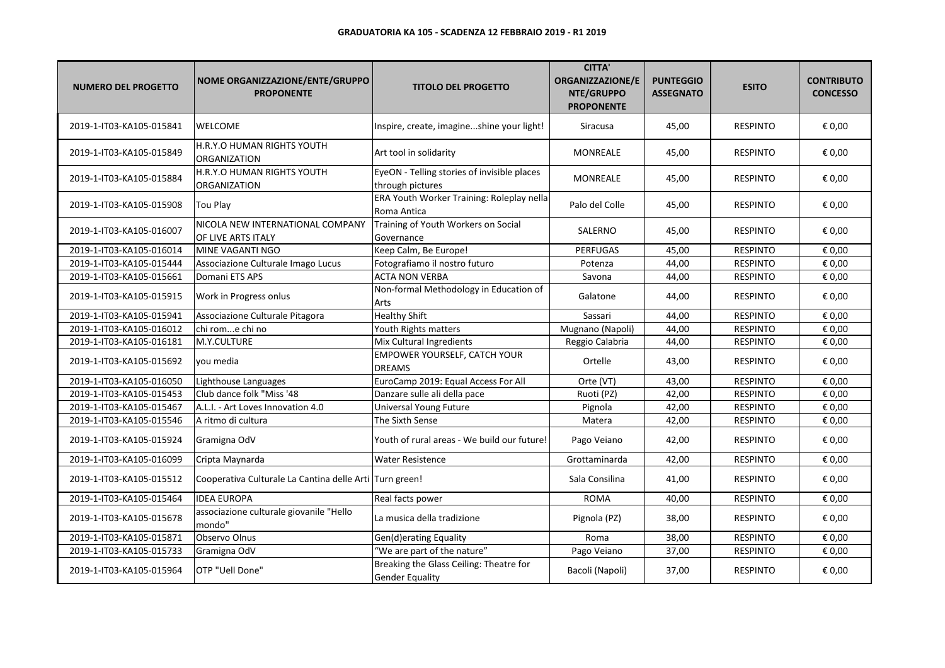| <b>NUMERO DEL PROGETTO</b> | NOME ORGANIZZAZIONE/ENTE/GRUPPO<br><b>PROPONENTE</b>    | <b>TITOLO DEL PROGETTO</b>                                        | <b>CITTA'</b><br><b>ORGANIZZAZIONE/E</b><br>NTE/GRUPPO<br><b>PROPONENTE</b> | <b>PUNTEGGIO</b><br><b>ASSEGNATO</b> | <b>ESITO</b>    | <b>CONTRIBUTO</b><br><b>CONCESSO</b> |
|----------------------------|---------------------------------------------------------|-------------------------------------------------------------------|-----------------------------------------------------------------------------|--------------------------------------|-----------------|--------------------------------------|
| 2019-1-IT03-KA105-015841   | <b>WELCOME</b>                                          | Inspire, create, imagineshine your light!                         | Siracusa                                                                    | 45,00                                | <b>RESPINTO</b> | € 0,00                               |
| 2019-1-IT03-KA105-015849   | H.R.Y.O HUMAN RIGHTS YOUTH<br><b>ORGANIZATION</b>       | Art tool in solidarity                                            | <b>MONREALE</b>                                                             | 45,00                                | <b>RESPINTO</b> | € 0,00                               |
| 2019-1-IT03-KA105-015884   | H.R.Y.O HUMAN RIGHTS YOUTH<br><b>ORGANIZATION</b>       | EyeON - Telling stories of invisible places<br>through pictures   | <b>MONREALE</b>                                                             | 45,00                                | <b>RESPINTO</b> | € 0,00                               |
| 2019-1-IT03-KA105-015908   | <b>Tou Play</b>                                         | ERA Youth Worker Training: Roleplay nella<br>Roma Antica          | Palo del Colle                                                              | 45,00                                | <b>RESPINTO</b> | € 0,00                               |
| 2019-1-IT03-KA105-016007   | NICOLA NEW INTERNATIONAL COMPANY<br>OF LIVE ARTS ITALY  | Training of Youth Workers on Social<br>Governance                 | SALERNO                                                                     | 45,00                                | <b>RESPINTO</b> | € 0,00                               |
| 2019-1-IT03-KA105-016014   | MINE VAGANTI NGO                                        | Keep Calm, Be Europe!                                             | <b>PERFUGAS</b>                                                             | 45,00                                | <b>RESPINTO</b> | € 0,00                               |
| 2019-1-IT03-KA105-015444   | Associazione Culturale Imago Lucus                      | Fotografiamo il nostro futuro                                     | Potenza                                                                     | 44,00                                | <b>RESPINTO</b> | € 0,00                               |
| 2019-1-IT03-KA105-015661   | Domani ETS APS                                          | <b>ACTA NON VERBA</b>                                             | Savona                                                                      | 44,00                                | <b>RESPINTO</b> | € 0,00                               |
| 2019-1-IT03-KA105-015915   | Work in Progress onlus                                  | Non-formal Methodology in Education of<br>Arts                    | Galatone                                                                    | 44,00                                | <b>RESPINTO</b> | € 0,00                               |
| 2019-1-IT03-KA105-015941   | Associazione Culturale Pitagora                         | <b>Healthy Shift</b>                                              | Sassari                                                                     | 44,00                                | <b>RESPINTO</b> | € 0,00                               |
| 2019-1-IT03-KA105-016012   | chi rome chi no                                         | Youth Rights matters                                              | Mugnano (Napoli)                                                            | 44,00                                | <b>RESPINTO</b> | € 0,00                               |
| 2019-1-IT03-KA105-016181   | M.Y.CULTURE                                             | Mix Cultural Ingredients                                          | Reggio Calabria                                                             | 44,00                                | <b>RESPINTO</b> | € 0,00                               |
| 2019-1-IT03-KA105-015692   | you media                                               | EMPOWER YOURSELF, CATCH YOUR<br><b>DREAMS</b>                     | Ortelle                                                                     | 43,00                                | <b>RESPINTO</b> | € 0,00                               |
| 2019-1-IT03-KA105-016050   | Lighthouse Languages                                    | EuroCamp 2019: Equal Access For All                               | Orte (VT)                                                                   | 43,00                                | <b>RESPINTO</b> | € 0,00                               |
| 2019-1-IT03-KA105-015453   | Club dance folk "Miss '48                               | Danzare sulle ali della pace                                      | Ruoti (PZ)                                                                  | 42,00                                | <b>RESPINTO</b> | € 0,00                               |
| 2019-1-IT03-KA105-015467   | A.L.I. - Art Loves Innovation 4.0                       | <b>Universal Young Future</b>                                     | Pignola                                                                     | 42,00                                | <b>RESPINTO</b> | € 0,00                               |
| 2019-1-IT03-KA105-015546   | A ritmo di cultura                                      | The Sixth Sense                                                   | Matera                                                                      | 42,00                                | <b>RESPINTO</b> | € 0,00                               |
| 2019-1-IT03-KA105-015924   | Gramigna OdV                                            | Youth of rural areas - We build our future!                       | Pago Veiano                                                                 | 42,00                                | <b>RESPINTO</b> | € 0,00                               |
| 2019-1-IT03-KA105-016099   | Cripta Maynarda                                         | <b>Water Resistence</b>                                           | Grottaminarda                                                               | 42,00                                | <b>RESPINTO</b> | € 0,00                               |
| 2019-1-IT03-KA105-015512   | Cooperativa Culturale La Cantina delle Arti Turn green! |                                                                   | Sala Consilina                                                              | 41,00                                | <b>RESPINTO</b> | € 0,00                               |
| 2019-1-IT03-KA105-015464   | <b>IDEA EUROPA</b>                                      | Real facts power                                                  | <b>ROMA</b>                                                                 | 40,00                                | <b>RESPINTO</b> | € 0,00                               |
| 2019-1-IT03-KA105-015678   | associazione culturale giovanile "Hello<br>mondo"       | La musica della tradizione                                        | Pignola (PZ)                                                                | 38,00                                | <b>RESPINTO</b> | € 0,00                               |
| 2019-1-IT03-KA105-015871   | Observo Olnus                                           | Gen(d)erating Equality                                            | Roma                                                                        | 38,00                                | <b>RESPINTO</b> | € 0,00                               |
| 2019-1-IT03-KA105-015733   | Gramigna OdV                                            | "We are part of the nature"                                       | Pago Veiano                                                                 | 37,00                                | <b>RESPINTO</b> | € 0,00                               |
| 2019-1-IT03-KA105-015964   | OTP "Uell Done"                                         | Breaking the Glass Ceiling: Theatre for<br><b>Gender Equality</b> | Bacoli (Napoli)                                                             | 37,00                                | <b>RESPINTO</b> | € 0,00                               |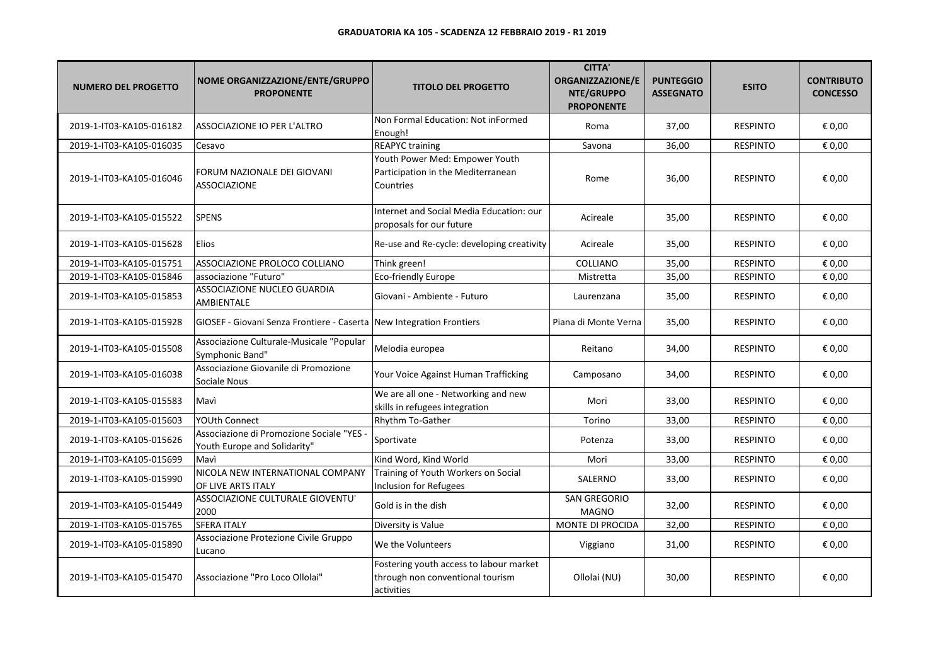| <b>NUMERO DEL PROGETTO</b> | NOME ORGANIZZAZIONE/ENTE/GRUPPO<br><b>PROPONENTE</b>                      | <b>TITOLO DEL PROGETTO</b>                                                                | <b>CITTA'</b><br><b>ORGANIZZAZIONE/E</b><br>NTE/GRUPPO<br><b>PROPONENTE</b> | <b>PUNTEGGIO</b><br><b>ASSEGNATO</b> | <b>ESITO</b>    | <b>CONTRIBUTO</b><br><b>CONCESSO</b> |
|----------------------------|---------------------------------------------------------------------------|-------------------------------------------------------------------------------------------|-----------------------------------------------------------------------------|--------------------------------------|-----------------|--------------------------------------|
| 2019-1-IT03-KA105-016182   | ASSOCIAZIONE IO PER L'ALTRO                                               | Non Formal Education: Not inFormed<br>Enough!                                             | Roma                                                                        | 37,00                                | <b>RESPINTO</b> | € 0,00                               |
| 2019-1-IT03-KA105-016035   | Cesavo                                                                    | <b>REAPYC training</b>                                                                    | Savona                                                                      | 36,00                                | <b>RESPINTO</b> | € 0,00                               |
| 2019-1-IT03-KA105-016046   | FORUM NAZIONALE DEI GIOVANI<br><b>ASSOCIAZIONE</b>                        | Youth Power Med: Empower Youth<br>Participation in the Mediterranean<br>Countries         | Rome                                                                        | 36,00                                | <b>RESPINTO</b> | € 0,00                               |
| 2019-1-IT03-KA105-015522   | <b>SPENS</b>                                                              | Internet and Social Media Education: our<br>proposals for our future                      | Acireale                                                                    | 35,00                                | <b>RESPINTO</b> | € 0,00                               |
| 2019-1-IT03-KA105-015628   | Elios                                                                     | Re-use and Re-cycle: developing creativity                                                | Acireale                                                                    | 35,00                                | <b>RESPINTO</b> | € 0,00                               |
| 2019-1-IT03-KA105-015751   | ASSOCIAZIONE PROLOCO COLLIANO                                             | Think green!                                                                              | COLLIANO                                                                    | 35,00                                | <b>RESPINTO</b> | € 0,00                               |
| 2019-1-IT03-KA105-015846   | associazione "Futuro"                                                     | <b>Eco-friendly Europe</b>                                                                | Mistretta                                                                   | 35,00                                | <b>RESPINTO</b> | € 0,00                               |
| 2019-1-IT03-KA105-015853   | ASSOCIAZIONE NUCLEO GUARDIA<br>AMBIENTALE                                 | Giovani - Ambiente - Futuro                                                               | Laurenzana                                                                  | 35,00                                | <b>RESPINTO</b> | € 0,00                               |
| 2019-1-IT03-KA105-015928   | GIOSEF - Giovani Senza Frontiere - Caserta New Integration Frontiers      |                                                                                           | Piana di Monte Verna                                                        | 35,00                                | <b>RESPINTO</b> | € 0,00                               |
| 2019-1-IT03-KA105-015508   | Associazione Culturale-Musicale "Popular<br>Symphonic Band"               | Melodia europea                                                                           | Reitano                                                                     | 34,00                                | <b>RESPINTO</b> | € 0,00                               |
| 2019-1-IT03-KA105-016038   | Associazione Giovanile di Promozione<br>Sociale Nous                      | Your Voice Against Human Trafficking                                                      | Camposano                                                                   | 34,00                                | <b>RESPINTO</b> | € 0,00                               |
| 2019-1-IT03-KA105-015583   | Mavì                                                                      | We are all one - Networking and new<br>skills in refugees integration                     | Mori                                                                        | 33,00                                | <b>RESPINTO</b> | € 0,00                               |
| 2019-1-IT03-KA105-015603   | <b>YOUth Connect</b>                                                      | <b>Rhythm To-Gather</b>                                                                   | Torino                                                                      | 33,00                                | <b>RESPINTO</b> | € 0,00                               |
| 2019-1-IT03-KA105-015626   | Associazione di Promozione Sociale "YES -<br>Youth Europe and Solidarity" | Sportivate                                                                                | Potenza                                                                     | 33,00                                | <b>RESPINTO</b> | € 0,00                               |
| 2019-1-IT03-KA105-015699   | Mavì                                                                      | Kind Word, Kind World                                                                     | Mori                                                                        | 33,00                                | <b>RESPINTO</b> | € 0,00                               |
| 2019-1-IT03-KA105-015990   | NICOLA NEW INTERNATIONAL COMPANY<br>OF LIVE ARTS ITALY                    | Training of Youth Workers on Social<br>Inclusion for Refugees                             | SALERNO                                                                     | 33,00                                | <b>RESPINTO</b> | € 0,00                               |
| 2019-1-IT03-KA105-015449   | ASSOCIAZIONE CULTURALE GIOVENTU'<br>2000                                  | Gold is in the dish                                                                       | SAN GREGORIO<br><b>MAGNO</b>                                                | 32,00                                | <b>RESPINTO</b> | € 0,00                               |
| 2019-1-IT03-KA105-015765   | <b>SFERA ITALY</b>                                                        | Diversity is Value                                                                        | MONTE DI PROCIDA                                                            | 32,00                                | <b>RESPINTO</b> | € 0,00                               |
| 2019-1-IT03-KA105-015890   | Associazione Protezione Civile Gruppo<br>Lucano                           | We the Volunteers                                                                         | Viggiano                                                                    | 31,00                                | <b>RESPINTO</b> | € 0,00                               |
| 2019-1-IT03-KA105-015470   | Associazione "Pro Loco Ollolai"                                           | Fostering youth access to labour market<br>through non conventional tourism<br>activities | Ollolai (NU)                                                                | 30,00                                | <b>RESPINTO</b> | € 0,00                               |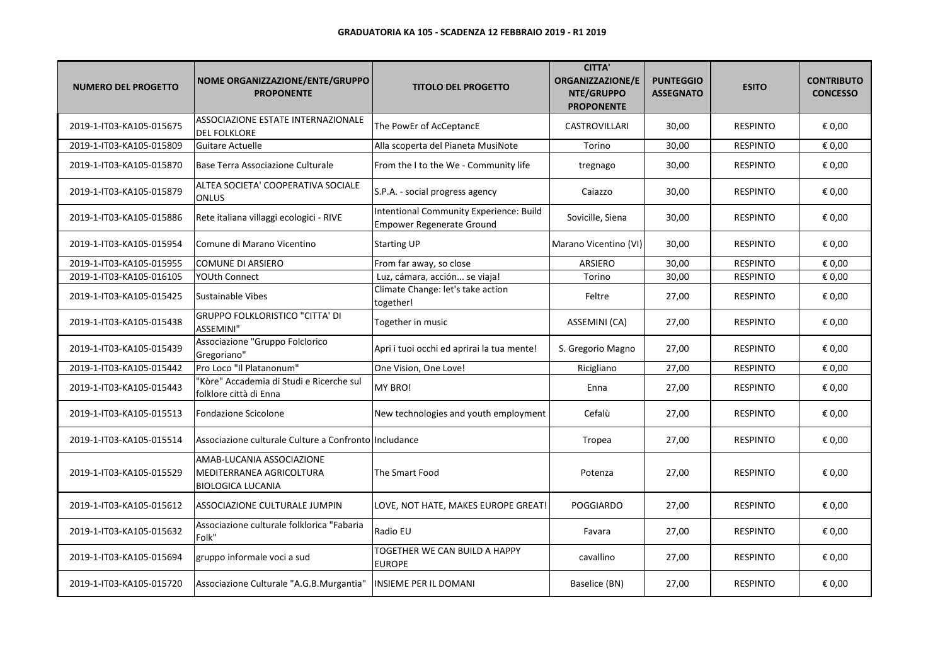| <b>NUMERO DEL PROGETTO</b> | NOME ORGANIZZAZIONE/ENTE/GRUPPO<br><b>PROPONENTE</b>                              | <b>TITOLO DEL PROGETTO</b>                                                  | <b>CITTA'</b><br><b>ORGANIZZAZIONE/E</b><br>NTE/GRUPPO<br><b>PROPONENTE</b> | <b>PUNTEGGIO</b><br><b>ASSEGNATO</b> | <b>ESITO</b>    | <b>CONTRIBUTO</b><br><b>CONCESSO</b> |
|----------------------------|-----------------------------------------------------------------------------------|-----------------------------------------------------------------------------|-----------------------------------------------------------------------------|--------------------------------------|-----------------|--------------------------------------|
| 2019-1-IT03-KA105-015675   | <b>ASSOCIAZIONE ESTATE INTERNAZIONALE</b><br><b>DEL FOLKLORE</b>                  | The PowEr of AcCeptancE                                                     | <b>CASTROVILLARI</b>                                                        | 30,00                                | <b>RESPINTO</b> | € 0,00                               |
| 2019-1-IT03-KA105-015809   | Guitare Actuelle                                                                  | Alla scoperta del Pianeta MusiNote                                          | Torino                                                                      | 30,00                                | <b>RESPINTO</b> | € 0,00                               |
| 2019-1-IT03-KA105-015870   | Base Terra Associazione Culturale                                                 | From the I to the We - Community life                                       | tregnago                                                                    | 30,00                                | <b>RESPINTO</b> | € 0,00                               |
| 2019-1-IT03-KA105-015879   | ALTEA SOCIETA' COOPERATIVA SOCIALE<br><b>ONLUS</b>                                | S.P.A. - social progress agency                                             | Caiazzo                                                                     | 30,00                                | <b>RESPINTO</b> | € 0,00                               |
| 2019-1-IT03-KA105-015886   | Rete italiana villaggi ecologici - RIVE                                           | Intentional Community Experience: Build<br><b>Empower Regenerate Ground</b> | Sovicille, Siena                                                            | 30,00                                | <b>RESPINTO</b> | € 0,00                               |
| 2019-1-IT03-KA105-015954   | Comune di Marano Vicentino                                                        | <b>Starting UP</b>                                                          | Marano Vicentino (VI)                                                       | 30,00                                | <b>RESPINTO</b> | € 0,00                               |
| 2019-1-IT03-KA105-015955   | COMUNE DI ARSIERO                                                                 | From far away, so close                                                     | <b>ARSIERO</b>                                                              | 30,00                                | <b>RESPINTO</b> | € 0,00                               |
| 2019-1-IT03-KA105-016105   | <b>YOUth Connect</b>                                                              | Luz, cámara, acción se viaja!                                               | Torino                                                                      | 30,00                                | <b>RESPINTO</b> | € 0,00                               |
| 2019-1-IT03-KA105-015425   | Sustainable Vibes                                                                 | Climate Change: let's take action<br>together!                              | Feltre                                                                      | 27,00                                | <b>RESPINTO</b> | € 0,00                               |
| 2019-1-IT03-KA105-015438   | <b>GRUPPO FOLKLORISTICO "CITTA' DI</b><br><b>ASSEMINI"</b>                        | Together in music                                                           | ASSEMINI (CA)                                                               | 27,00                                | <b>RESPINTO</b> | € 0,00                               |
| 2019-1-IT03-KA105-015439   | Associazione "Gruppo Folclorico<br>Gregoriano"                                    | Apri i tuoi occhi ed aprirai la tua mente!                                  | S. Gregorio Magno                                                           | 27,00                                | <b>RESPINTO</b> | € 0,00                               |
| 2019-1-IT03-KA105-015442   | Pro Loco "Il Platanonum"                                                          | One Vision, One Love!                                                       | Ricigliano                                                                  | 27,00                                | <b>RESPINTO</b> | € 0,00                               |
| 2019-1-IT03-KA105-015443   | "Kòre" Accademia di Studi e Ricerche sul<br>folklore città di Enna                | MY BRO!                                                                     | Enna                                                                        | 27,00                                | <b>RESPINTO</b> | € 0,00                               |
| 2019-1-IT03-KA105-015513   | Fondazione Scicolone                                                              | New technologies and youth employment                                       | Cefalù                                                                      | 27,00                                | <b>RESPINTO</b> | € 0,00                               |
| 2019-1-IT03-KA105-015514   | Associazione culturale Culture a Confronto lincludance                            |                                                                             | Tropea                                                                      | 27,00                                | <b>RESPINTO</b> | € 0,00                               |
| 2019-1-IT03-KA105-015529   | AMAB-LUCANIA ASSOCIAZIONE<br>MEDITERRANEA AGRICOLTURA<br><b>BIOLOGICA LUCANIA</b> | The Smart Food                                                              | Potenza                                                                     | 27,00                                | <b>RESPINTO</b> | € 0,00                               |
| 2019-1-IT03-KA105-015612   | ASSOCIAZIONE CULTURALE JUMPIN                                                     | LOVE, NOT HATE, MAKES EUROPE GREAT!                                         | <b>POGGIARDO</b>                                                            | 27,00                                | <b>RESPINTO</b> | € 0,00                               |
| 2019-1-IT03-KA105-015632   | Associazione culturale folklorica "Fabaria<br>Folk"                               | Radio EU                                                                    | Favara                                                                      | 27,00                                | <b>RESPINTO</b> | € 0,00                               |
| 2019-1-IT03-KA105-015694   | gruppo informale voci a sud                                                       | TOGETHER WE CAN BUILD A HAPPY<br><b>EUROPE</b>                              | cavallino                                                                   | 27,00                                | <b>RESPINTO</b> | € 0,00                               |
| 2019-1-IT03-KA105-015720   | Associazione Culturale "A.G.B.Murgantia"                                          | INSIEME PER IL DOMANI                                                       | Baselice (BN)                                                               | 27,00                                | <b>RESPINTO</b> | € 0,00                               |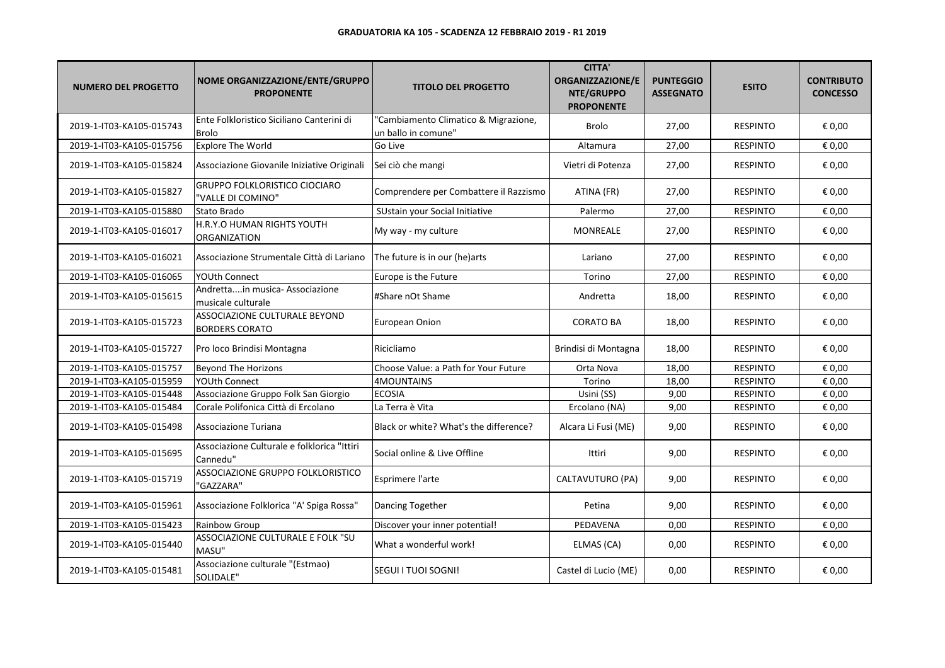| <b>NUMERO DEL PROGETTO</b> | NOME ORGANIZZAZIONE/ENTE/GRUPPO<br><b>PROPONENTE</b>      | <b>TITOLO DEL PROGETTO</b>                                  | <b>CITTA'</b><br>ORGANIZZAZIONE/E<br>NTE/GRUPPO<br><b>PROPONENTE</b> | <b>PUNTEGGIO</b><br><b>ASSEGNATO</b> | <b>ESITO</b>    | <b>CONTRIBUTO</b><br><b>CONCESSO</b> |
|----------------------------|-----------------------------------------------------------|-------------------------------------------------------------|----------------------------------------------------------------------|--------------------------------------|-----------------|--------------------------------------|
| 2019-1-IT03-KA105-015743   | Ente Folkloristico Siciliano Canterini di<br><b>Brolo</b> | 'Cambiamento Climatico & Migrazione,<br>un ballo in comune" | <b>Brolo</b>                                                         | 27,00                                | <b>RESPINTO</b> | € 0,00                               |
| 2019-1-IT03-KA105-015756   | <b>Explore The World</b>                                  | Go Live                                                     | Altamura                                                             | 27,00                                | <b>RESPINTO</b> | € 0,00                               |
| 2019-1-IT03-KA105-015824   | Associazione Giovanile Iniziative Originali               | Sei ciò che mangi                                           | Vietri di Potenza                                                    | 27,00                                | <b>RESPINTO</b> | € 0,00                               |
| 2019-1-IT03-KA105-015827   | <b>GRUPPO FOLKLORISTICO CIOCIARO</b><br>"VALLE DI COMINO" | Comprendere per Combattere il Razzismo                      | ATINA (FR)                                                           | 27,00                                | <b>RESPINTO</b> | € 0,00                               |
| 2019-1-IT03-KA105-015880   | Stato Brado                                               | SUstain your Social Initiative                              | Palermo                                                              | 27,00                                | <b>RESPINTO</b> | € 0,00                               |
| 2019-1-IT03-KA105-016017   | H.R.Y.O HUMAN RIGHTS YOUTH<br><b>ORGANIZATION</b>         | My way - my culture                                         | MONREALE                                                             | 27,00                                | <b>RESPINTO</b> | € 0,00                               |
| 2019-1-IT03-KA105-016021   | Associazione Strumentale Città di Lariano                 | The future is in our (he)arts                               | Lariano                                                              | 27,00                                | <b>RESPINTO</b> | € 0,00                               |
| 2019-1-IT03-KA105-016065   | <b>YOUth Connect</b>                                      | Europe is the Future                                        | Torino                                                               | 27,00                                | <b>RESPINTO</b> | € 0,00                               |
| 2019-1-IT03-KA105-015615   | Andrettain musica- Associazione<br>musicale culturale     | #Share nOt Shame                                            | Andretta                                                             | 18,00                                | <b>RESPINTO</b> | € 0,00                               |
| 2019-1-IT03-KA105-015723   | ASSOCIAZIONE CULTURALE BEYOND<br><b>BORDERS CORATO</b>    | European Onion                                              | <b>CORATO BA</b>                                                     | 18,00                                | <b>RESPINTO</b> | € 0,00                               |
| 2019-1-IT03-KA105-015727   | Pro loco Brindisi Montagna                                | Ricicliamo                                                  | Brindisi di Montagna                                                 | 18,00                                | <b>RESPINTO</b> | € 0,00                               |
| 2019-1-IT03-KA105-015757   | Beyond The Horizons                                       | Choose Value: a Path for Your Future                        | Orta Nova                                                            | 18,00                                | <b>RESPINTO</b> | € 0,00                               |
| 2019-1-IT03-KA105-015959   | YOUth Connect                                             | 4MOUNTAINS                                                  | Torino                                                               | 18,00                                | <b>RESPINTO</b> | € 0,00                               |
| 2019-1-IT03-KA105-015448   | Associazione Gruppo Folk San Giorgio                      | <b>ECOSIA</b>                                               | Usini (SS)                                                           | 9,00                                 | <b>RESPINTO</b> | € 0,00                               |
| 2019-1-IT03-KA105-015484   | Corale Polifonica Città di Ercolano                       | La Terra è Vita                                             | Ercolano (NA)                                                        | 9,00                                 | <b>RESPINTO</b> | € 0,00                               |
| 2019-1-IT03-KA105-015498   | Associazione Turiana                                      | Black or white? What's the difference?                      | Alcara Li Fusi (ME)                                                  | 9,00                                 | <b>RESPINTO</b> | € 0,00                               |
| 2019-1-IT03-KA105-015695   | Associazione Culturale e folklorica "Ittiri<br>Cannedu"   | Social online & Live Offline                                | Ittiri                                                               | 9,00                                 | <b>RESPINTO</b> | € 0,00                               |
| 2019-1-IT03-KA105-015719   | ASSOCIAZIONE GRUPPO FOLKLORISTICO<br>"GAZZARA"            | Esprimere l'arte                                            | CALTAVUTURO (PA)                                                     | 9,00                                 | <b>RESPINTO</b> | € 0,00                               |
| 2019-1-IT03-KA105-015961   | Associazione Folklorica "A' Spiga Rossa"                  | Dancing Together                                            | Petina                                                               | 9,00                                 | <b>RESPINTO</b> | € 0,00                               |
| 2019-1-IT03-KA105-015423   | Rainbow Group                                             | Discover your inner potential!                              | PEDAVENA                                                             | 0,00                                 | <b>RESPINTO</b> | € 0,00                               |
| 2019-1-IT03-KA105-015440   | ASSOCIAZIONE CULTURALE E FOLK "SU<br>MASU"                | What a wonderful work!                                      | ELMAS (CA)                                                           | 0,00                                 | <b>RESPINTO</b> | € 0,00                               |
| 2019-1-IT03-KA105-015481   | Associazione culturale "(Estmao)<br>SOLIDALE"             | <b>SEGUI I TUOI SOGNI!</b>                                  | Castel di Lucio (ME)                                                 | 0,00                                 | <b>RESPINTO</b> | € 0,00                               |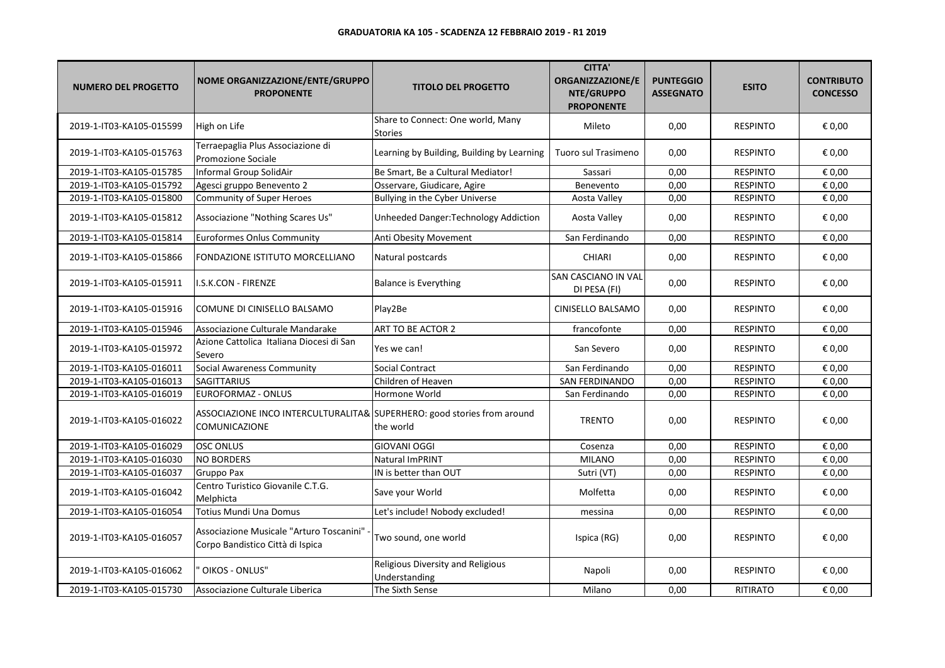| <b>NUMERO DEL PROGETTO</b> | NOME ORGANIZZAZIONE/ENTE/GRUPPO<br><b>PROPONENTE</b>                                            | <b>TITOLO DEL PROGETTO</b>                          | <b>CITTA'</b><br>ORGANIZZAZIONE/E<br>NTE/GRUPPO<br><b>PROPONENTE</b> | <b>PUNTEGGIO</b><br><b>ASSEGNATO</b> | <b>ESITO</b>    | <b>CONTRIBUTO</b><br><b>CONCESSO</b> |
|----------------------------|-------------------------------------------------------------------------------------------------|-----------------------------------------------------|----------------------------------------------------------------------|--------------------------------------|-----------------|--------------------------------------|
| 2019-1-IT03-KA105-015599   | High on Life                                                                                    | Share to Connect: One world, Many<br><b>Stories</b> | Mileto                                                               | 0,00                                 | <b>RESPINTO</b> | € 0,00                               |
| 2019-1-IT03-KA105-015763   | Terraepaglia Plus Associazione di<br>Promozione Sociale                                         | Learning by Building, Building by Learning          | Tuoro sul Trasimeno                                                  | 0,00                                 | <b>RESPINTO</b> | € 0,00                               |
| 2019-1-IT03-KA105-015785   | Informal Group SolidAir                                                                         | Be Smart, Be a Cultural Mediator!                   | Sassari                                                              | 0,00                                 | <b>RESPINTO</b> | € 0,00                               |
| 2019-1-IT03-KA105-015792   | Agesci gruppo Benevento 2                                                                       | Osservare, Giudicare, Agire                         | Benevento                                                            | 0,00                                 | <b>RESPINTO</b> | € 0,00                               |
| 2019-1-IT03-KA105-015800   | Community of Super Heroes                                                                       | Bullying in the Cyber Universe                      | Aosta Valley                                                         | 0,00                                 | <b>RESPINTO</b> | € 0,00                               |
| 2019-1-IT03-KA105-015812   | Associazione "Nothing Scares Us"                                                                | Unheeded Danger: Technology Addiction               | Aosta Valley                                                         | 0,00                                 | <b>RESPINTO</b> | € 0,00                               |
| 2019-1-IT03-KA105-015814   | Euroformes Onlus Community                                                                      | Anti Obesity Movement                               | San Ferdinando                                                       | 0,00                                 | <b>RESPINTO</b> | € 0,00                               |
| 2019-1-IT03-KA105-015866   | FONDAZIONE ISTITUTO MORCELLIANO                                                                 | Natural postcards                                   | CHIARI                                                               | 0,00                                 | <b>RESPINTO</b> | € 0,00                               |
| 2019-1-IT03-KA105-015911   | I.S.K.CON - FIRENZE                                                                             | <b>Balance is Everything</b>                        | SAN CASCIANO IN VAL<br>DI PESA (FI)                                  | 0,00                                 | <b>RESPINTO</b> | € 0,00                               |
| 2019-1-IT03-KA105-015916   | COMUNE DI CINISELLO BALSAMO                                                                     | Play2Be                                             | CINISELLO BALSAMO                                                    | 0,00                                 | <b>RESPINTO</b> | € 0,00                               |
| 2019-1-IT03-KA105-015946   | Associazione Culturale Mandarake                                                                | ART TO BE ACTOR 2                                   | francofonte                                                          | 0,00                                 | <b>RESPINTO</b> | € 0,00                               |
| 2019-1-IT03-KA105-015972   | Azione Cattolica Italiana Diocesi di San<br>Severo                                              | Yes we can!                                         | San Severo                                                           | 0,00                                 | <b>RESPINTO</b> | € 0,00                               |
| 2019-1-IT03-KA105-016011   | Social Awareness Community                                                                      | <b>Social Contract</b>                              | San Ferdinando                                                       | 0,00                                 | <b>RESPINTO</b> | € 0,00                               |
| 2019-1-IT03-KA105-016013   | <b>SAGITTARIUS</b>                                                                              | Children of Heaven                                  | <b>SAN FERDINANDO</b>                                                | 0,00                                 | <b>RESPINTO</b> | € 0,00                               |
| 2019-1-IT03-KA105-016019   | EUROFORMAZ - ONLUS                                                                              | Hormone World                                       | San Ferdinando                                                       | 0,00                                 | <b>RESPINTO</b> | € 0,00                               |
| 2019-1-IT03-KA105-016022   | ASSOCIAZIONE INCO INTERCULTURALITA& SUPERHERO: good stories from around<br><b>COMUNICAZIONE</b> | the world                                           | <b>TRENTO</b>                                                        | 0,00                                 | <b>RESPINTO</b> | € 0,00                               |
| 2019-1-IT03-KA105-016029   | <b>OSC ONLUS</b>                                                                                | <b>GIOVANI OGGI</b>                                 | Cosenza                                                              | 0,00                                 | <b>RESPINTO</b> | € 0,00                               |
| 2019-1-IT03-KA105-016030   | <b>NO BORDERS</b>                                                                               | Natural ImPRINT                                     | <b>MILANO</b>                                                        | 0,00                                 | <b>RESPINTO</b> | € 0,00                               |
| 2019-1-IT03-KA105-016037   | Gruppo Pax                                                                                      | IN is better than OUT                               | Sutri (VT)                                                           | 0,00                                 | <b>RESPINTO</b> | € 0,00                               |
| 2019-1-IT03-KA105-016042   | Centro Turistico Giovanile C.T.G.<br>Melphicta                                                  | Save your World                                     | Molfetta                                                             | 0,00                                 | <b>RESPINTO</b> | € 0,00                               |
| 2019-1-IT03-KA105-016054   | <b>Totius Mundi Una Domus</b>                                                                   | Let's include! Nobody excluded!                     | messina                                                              | 0,00                                 | <b>RESPINTO</b> | € 0,00                               |
| 2019-1-IT03-KA105-016057   | Associazione Musicale "Arturo Toscanini"<br>Corpo Bandistico Città di Ispica                    | Two sound, one world                                | Ispica (RG)                                                          | 0,00                                 | <b>RESPINTO</b> | € 0,00                               |
| 2019-1-IT03-KA105-016062   | OIKOS - ONLUS"                                                                                  | Religious Diversity and Religious<br>Understanding  | Napoli                                                               | 0,00                                 | <b>RESPINTO</b> | € 0,00                               |
| 2019-1-IT03-KA105-015730   | Associazione Culturale Liberica                                                                 | The Sixth Sense                                     | Milano                                                               | 0,00                                 | RITIRATO        | € 0,00                               |